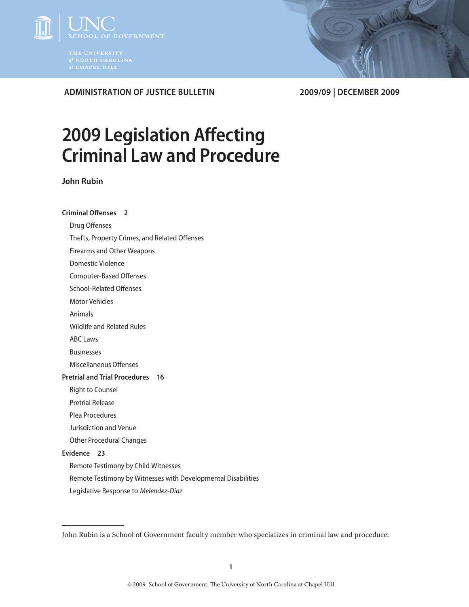

 **Administration of Justice Bulletin 2009/09 | December 2009**

# **2009 Legislation Affecting Criminal Law and Procedure**

**John Rubin**

# **Criminal Offenses 2**

Drug Offenses

Thefts, Property Crimes, and Related Offenses

Firearms and Other Weapons

Domestic Violence

Computer-Based Offenses

School-Related Offenses

Motor Vehicles

Animals

Wildlife and Related Rules

ABC Laws

Businesses

Miscellaneous Offenses

# **Pretrial and Trial Procedures 16**

Right to Counsel

Pretrial Release

Plea Procedures

Jurisdiction and Venue

Other Procedural Changes

# **Evidence 23**

Remote Testimony by Child Witnesses

Remote Testimony by Witnesses with Developmental Disabilities

Legislative Response to *Melendez-Diaz*

John Rubin is a School of Government faculty member who specializes in criminal law and procedure.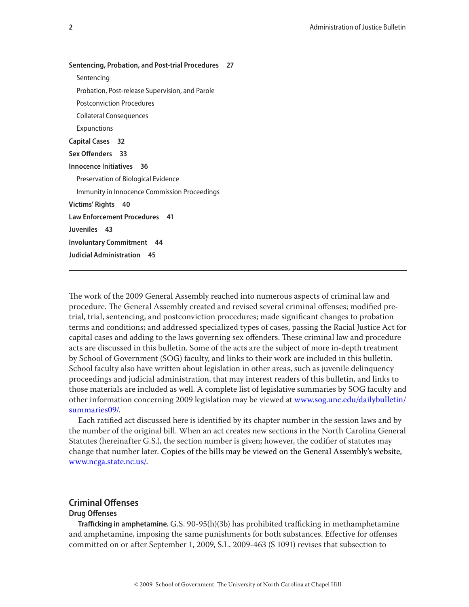| <b>Sentencing, Probation, and Post-trial Procedures</b><br>27 |
|---------------------------------------------------------------|
| Sentencing                                                    |
| Probation, Post-release Supervision, and Parole               |
| Postconviction Procedures                                     |
| <b>Collateral Consequences</b>                                |
| <b>Expunctions</b>                                            |
| <b>Capital Cases</b> 32                                       |
| Sex Offenders 33                                              |
| Innocence Initiatives 36                                      |
| Preservation of Biological Evidence                           |
| Immunity in Innocence Commission Proceedings                  |
| Victims' Rights 40                                            |
| <b>Law Enforcement Procedures</b> 41                          |
| Juveniles 43                                                  |
| <b>Involuntary Commitment</b> 44                              |
| <b>Judicial Administration</b><br>- 45                        |
|                                                               |

The work of the 2009 General Assembly reached into numerous aspects of criminal law and procedure. The General Assembly created and revised several criminal offenses; modified pretrial, trial, sentencing, and postconviction procedures; made significant changes to probation terms and conditions; and addressed specialized types of cases, passing the Racial Justice Act for capital cases and adding to the laws governing sex offenders. These criminal law and procedure acts are discussed in this bulletin. Some of the acts are the subject of more in-depth treatment by School of Government (SOG) faculty, and links to their work are included in this bulletin. School faculty also have written about legislation in other areas, such as juvenile delinquency proceedings and judicial administration, that may interest readers of this bulletin, and links to those materials are included as well. A complete list of legislative summaries by SOG faculty and other information concerning 2009 legislation may be viewed at [www.sog.unc.edu/dailybulletin/](http://www.sog.unc.edu/dailybulletin/summaries09/) [summaries09/.](http://www.sog.unc.edu/dailybulletin/summaries09/)

Each ratified act discussed here is identified by its chapter number in the session laws and by the number of the original bill. When an act creates new sections in the North Carolina General Statutes (hereinafter G.S.), the section number is given; however, the codifier of statutes may change that number later. Copies of the bills may be viewed on the General Assembly's website, [www.ncga.state.nc.us/.](http://www.ncga.state.nc.us/)

# **Criminal Offenses**

# **Drug Offenses**

**Trafficking in amphetamine.** G.S. 90-95(h)(3b) has prohibited trafficking in methamphetamine and amphetamine, imposing the same punishments for both substances. Effective for offenses committed on or after September 1, 2009, S.L. 2009-463 (S 1091) revises that subsection to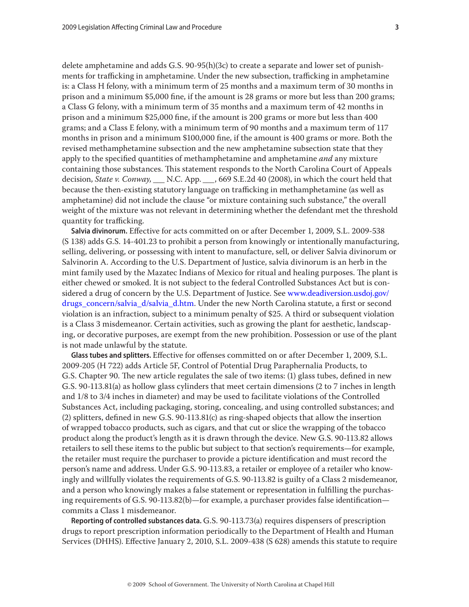delete amphetamine and adds G.S. 90-95(h)(3c) to create a separate and lower set of punishments for trafficking in amphetamine. Under the new subsection, trafficking in amphetamine is: a Class H felony, with a minimum term of 25 months and a maximum term of 30 months in prison and a minimum \$5,000 fine, if the amount is 28 grams or more but less than 200 grams; a Class G felony, with a minimum term of 35 months and a maximum term of 42 months in prison and a minimum \$25,000 fine, if the amount is 200 grams or more but less than 400 grams; and a Class E felony, with a minimum term of 90 months and a maximum term of 117 months in prison and a minimum \$100,000 fine, if the amount is 400 grams or more. Both the revised methamphetamine subsection and the new amphetamine subsection state that they apply to the specified quantities of methamphetamine and amphetamine *and* any mixture containing those substances. This statement responds to the North Carolina Court of Appeals decision, *State v. Conway, \_\_\_* N.C. App. *\_\_\_*, 669 S.E.2d 40 (2008), in which the court held that because the then-existing statutory language on trafficking in methamphetamine (as well as amphetamine) did not include the clause "or mixture containing such substance," the overall weight of the mixture was not relevant in determining whether the defendant met the threshold quantity for trafficking.

**Salvia divinorum.** Effective for acts committed on or after December 1, 2009, S.L. 2009-538 (S 138) adds G.S. 14-401.23 to prohibit a person from knowingly or intentionally manufacturing, selling, delivering, or possessing with intent to manufacture, sell, or deliver Salvia divinorum or Salvinorin A. According to the U.S. Department of Justice, salvia divinorum is an herb in the mint family used by the Mazatec Indians of Mexico for ritual and healing purposes. The plant is either chewed or smoked. It is not subject to the federal Controlled Substances Act but is considered a drug of concern by the U.S. Department of Justice. See [www.deadiversion.usdoj.gov/](http://www.deadiversion.usdoj.gov/drugs_concern/salvia_d/salvia_d.htm) [drugs\\_concern/salvia\\_d/salvia\\_d.htm](http://www.deadiversion.usdoj.gov/drugs_concern/salvia_d/salvia_d.htm). Under the new North Carolina statute, a first or second violation is an infraction, subject to a minimum penalty of \$25. A third or subsequent violation is a Class 3 misdemeanor. Certain activities, such as growing the plant for aesthetic, landscaping, or decorative purposes, are exempt from the new prohibition. Possession or use of the plant is not made unlawful by the statute.

**Glass tubes and splitters.** Effective for offenses committed on or after December 1, 2009, S.L. 2009-205 (H 722) adds Article 5F, Control of Potential Drug Paraphernalia Products, to G.S. Chapter 90. The new article regulates the sale of two items: (1) glass tubes, defined in new G.S. 90-113.81(a) as hollow glass cylinders that meet certain dimensions (2 to 7 inches in length and 1/8 to 3/4 inches in diameter) and may be used to facilitate violations of the Controlled Substances Act, including packaging, storing, concealing, and using controlled substances; and (2) splitters, defined in new G.S. 90-113.81(c) as ring-shaped objects that allow the insertion of wrapped tobacco products, such as cigars, and that cut or slice the wrapping of the tobacco product along the product's length as it is drawn through the device. New G.S. 90-113.82 allows retailers to sell these items to the public but subject to that section's requirements—for example, the retailer must require the purchaser to provide a picture identification and must record the person's name and address. Under G.S. 90-113.83, a retailer or employee of a retailer who knowingly and willfully violates the requirements of G.S. 90-113.82 is guilty of a Class 2 misdemeanor, and a person who knowingly makes a false statement or representation in fulfilling the purchasing requirements of G.S. 90-113.82(b)—for example, a purchaser provides false identification commits a Class 1 misdemeanor.

**Reporting of controlled substances data.** G.S. 90-113.73(a) requires dispensers of prescription drugs to report prescription information periodically to the Department of Health and Human Services (DHHS). Effective January 2, 2010, S.L. 2009-438 (S 628) amends this statute to require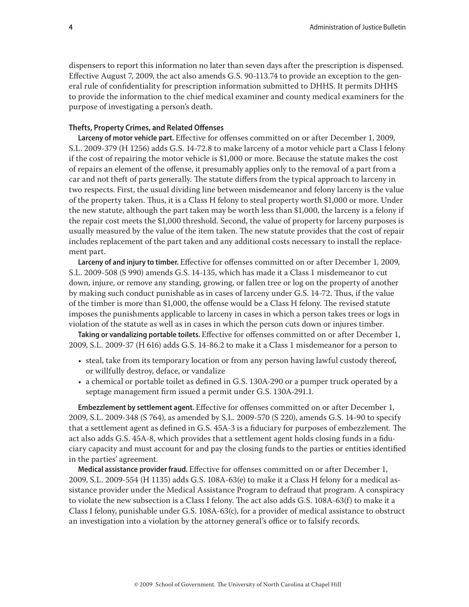dispensers to report this information no later than seven days after the prescription is dispensed. Effective August 7, 2009, the act also amends G.S. 90-113.74 to provide an exception to the general rule of confidentiality for prescription information submitted to DHHS. It permits DHHS to provide the information to the chief medical examiner and county medical examiners for the purpose of investigating a person's death.

# **Thefts, Property Crimes, and Related Offenses**

**Larceny of motor vehicle part.** Effective for offenses committed on or after December 1, 2009, S.L. 2009-379 (H 1256) adds G.S. 14-72.8 to make larceny of a motor vehicle part a Class I felony if the cost of repairing the motor vehicle is \$1,000 or more. Because the statute makes the cost of repairs an element of the offense, it presumably applies only to the removal of a part from a car and not theft of parts generally. The statute differs from the typical approach to larceny in two respects. First, the usual dividing line between misdemeanor and felony larceny is the value of the property taken. Thus, it is a Class H felony to steal property worth \$1,000 or more. Under the new statute, although the part taken may be worth less than \$1,000, the larceny is a felony if the repair cost meets the \$1,000 threshold. Second, the value of property for larceny purposes is usually measured by the value of the item taken. The new statute provides that the cost of repair includes replacement of the part taken and any additional costs necessary to install the replacement part.

**Larceny of and injury to timber.** Effective for offenses committed on or after December 1, 2009, S.L. 2009-508 (S 990) amends G.S. 14-135, which has made it a Class 1 misdemeanor to cut down, injure, or remove any standing, growing, or fallen tree or log on the property of another by making such conduct punishable as in cases of larceny under G.S. 14-72. Thus, if the value of the timber is more than \$1,000, the offense would be a Class H felony. The revised statute imposes the punishments applicable to larceny in cases in which a person takes trees or logs in violation of the statute as well as in cases in which the person cuts down or injures timber.

**Taking or vandalizing portable toilets.** Effective for offenses committed on or after December 1, 2009, S.L. 2009-37 (H 616) adds G.S. 14-86.2 to make it a Class 1 misdemeanor for a person to

- steal, take from its temporary location or from any person having lawful custody thereof, or willfully destroy, deface, or vandalize
- • a chemical or portable toilet as defined in G.S. 130A-290 or a pumper truck operated by a septage management firm issued a permit under G.S. 130A-291.1.

**Embezzlement by settlement agent.** Effective for offenses committed on or after December 1, 2009, S.L. 2009-348 (S 764), as amended by S.L. 2009-570 (S 220), amends G.S. 14-90 to specify that a settlement agent as defined in G.S. 45A-3 is a fiduciary for purposes of embezzlement. The act also adds G.S. 45A-8, which provides that a settlement agent holds closing funds in a fiduciary capacity and must account for and pay the closing funds to the parties or entities identified in the parties' agreement.

**Medical assistance provider fraud.** Effective for offenses committed on or after December 1, 2009, S.L. 2009-554 (H 1135) adds G.S. 108A-63(e) to make it a Class H felony for a medical assistance provider under the Medical Assistance Program to defraud that program. A conspiracy to violate the new subsection is a Class I felony. The act also adds G.S. 108A-63(f) to make it a Class I felony, punishable under G.S. 108A-63(c), for a provider of medical assistance to obstruct an investigation into a violation by the attorney general's office or to falsify records.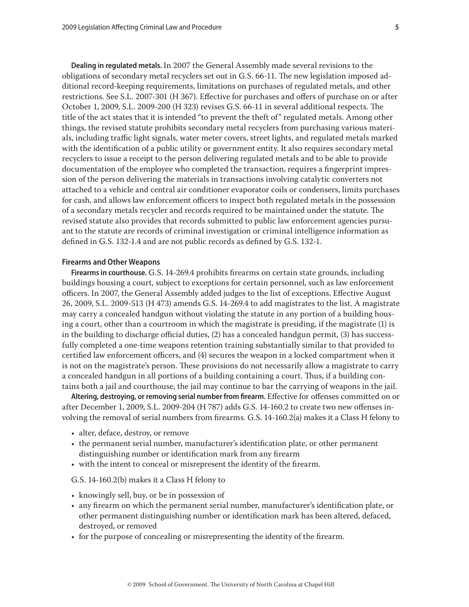**Dealing in regulated metals.** In 2007 the General Assembly made several revisions to the obligations of secondary metal recyclers set out in G.S. 66-11. The new legislation imposed additional record-keeping requirements, limitations on purchases of regulated metals, and other restrictions. See S.L. 2007-301 (H 367). Effective for purchases and offers of purchase on or after October 1, 2009, S.L. 2009-200 (H 323) revises G.S. 66-11 in several additional respects. The title of the act states that it is intended "to prevent the theft of" regulated metals. Among other things, the revised statute prohibits secondary metal recyclers from purchasing various materials, including traffic light signals, water meter covers, street lights, and regulated metals marked with the identification of a public utility or government entity. It also requires secondary metal recyclers to issue a receipt to the person delivering regulated metals and to be able to provide documentation of the employee who completed the transaction, requires a fingerprint impression of the person delivering the materials in transactions involving catalytic converters not attached to a vehicle and central air conditioner evaporator coils or condensers, limits purchases for cash, and allows law enforcement officers to inspect both regulated metals in the possession of a secondary metals recycler and records required to be maintained under the statute. The revised statute also provides that records submitted to public law enforcement agencies pursuant to the statute are records of criminal investigation or criminal intelligence information as defined in G.S. 132-1.4 and are not public records as defined by G.S. 132-1.

#### **Firearms and Other Weapons**

**Firearms in courthouse.** G.S. 14-269.4 prohibits firearms on certain state grounds, including buildings housing a court, subject to exceptions for certain personnel, such as law enforcement officers. In 2007, the General Assembly added judges to the list of exceptions. Effective August 26, 2009, S.L. 2009-513 (H 473) amends G.S. 14-269.4 to add magistrates to the list. A magistrate may carry a concealed handgun without violating the statute in any portion of a building housing a court, other than a courtroom in which the magistrate is presiding, if the magistrate (1) is in the building to discharge official duties, (2) has a concealed handgun permit, (3) has successfully completed a one-time weapons retention training substantially similar to that provided to certified law enforcement officers, and (4) secures the weapon in a locked compartment when it is not on the magistrate's person. These provisions do not necessarily allow a magistrate to carry a concealed handgun in all portions of a building containing a court. Thus, if a building contains both a jail and courthouse, the jail may continue to bar the carrying of weapons in the jail.

**Altering, destroying, or removing serial number from firearm.** Effective for offenses committed on or after December 1, 2009, S.L. 2009-204 (H 787) adds G.S. 14-160.2 to create two new offenses involving the removal of serial numbers from firearms. G.S. 14-160.2(a) makes it a Class H felony to

- alter, deface, destroy, or remove
- • the permanent serial number, manufacturer's identification plate, or other permanent distinguishing number or identification mark from any firearm
- • with the intent to conceal or misrepresent the identity of the firearm.

G.S. 14-160.2(b) makes it a Class H felony to

- knowingly sell, buy, or be in possession of
- • any firearm on which the permanent serial number, manufacturer's identification plate, or other permanent distinguishing number or identification mark has been altered, defaced, destroyed, or removed
- for the purpose of concealing or misrepresenting the identity of the firearm.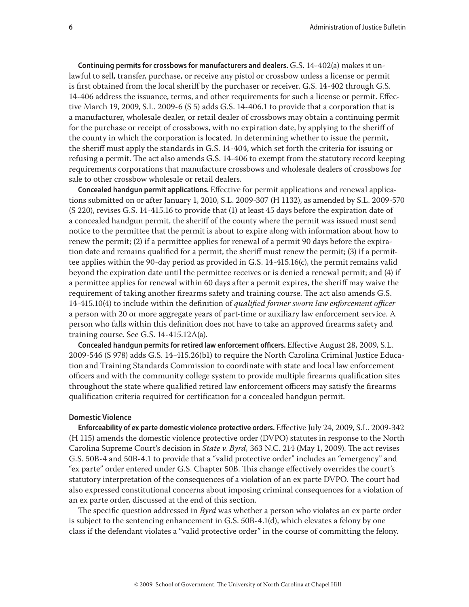**Continuing permits for crossbows for manufacturers and dealers.** G.S. 14-402(a) makes it unlawful to sell, transfer, purchase, or receive any pistol or crossbow unless a license or permit is first obtained from the local sheriff by the purchaser or receiver. G.S. 14-402 through G.S. 14-406 address the issuance, terms, and other requirements for such a license or permit. Effective March 19, 2009, S.L. 2009-6  $(S 5)$  adds G.S. 14-406.1 to provide that a corporation that is a manufacturer, wholesale dealer, or retail dealer of crossbows may obtain a continuing permit for the purchase or receipt of crossbows, with no expiration date, by applying to the sheriff of the county in which the corporation is located. In determining whether to issue the permit, the sheriff must apply the standards in G.S. 14-404, which set forth the criteria for issuing or refusing a permit. The act also amends G.S. 14-406 to exempt from the statutory record keeping requirements corporations that manufacture crossbows and wholesale dealers of crossbows for sale to other crossbow wholesale or retail dealers.

**Concealed handgun permit applications.** Effective for permit applications and renewal applications submitted on or after January 1, 2010, S.L. 2009-307 (H 1132), as amended by S.L. 2009-570 (S 220), revises G.S. 14-415.16 to provide that (1) at least 45 days before the expiration date of a concealed handgun permit, the sheriff of the county where the permit was issued must send notice to the permittee that the permit is about to expire along with information about how to renew the permit; (2) if a permittee applies for renewal of a permit 90 days before the expiration date and remains qualified for a permit, the sheriff must renew the permit; (3) if a permittee applies within the 90-day period as provided in G.S. 14-415.16(c), the permit remains valid beyond the expiration date until the permittee receives or is denied a renewal permit; and (4) if a permittee applies for renewal within 60 days after a permit expires, the sheriff may waive the requirement of taking another firearms safety and training course. The act also amends G.S. 14-415.10(4) to include within the definition of *qualified former sworn law enforcement officer* a person with 20 or more aggregate years of part-time or auxiliary law enforcement service. A person who falls within this definition does not have to take an approved firearms safety and training course. See G.S. 14-415.12A(a).

**Concealed handgun permits for retired law enforcement officers.** Effective August 28, 2009, S.L. 2009-546 (S 978) adds G.S. 14-415.26(b1) to require the North Carolina Criminal Justice Education and Training Standards Commission to coordinate with state and local law enforcement officers and with the community college system to provide multiple firearms qualification sites throughout the state where qualified retired law enforcement officers may satisfy the firearms qualification criteria required for certification for a concealed handgun permit.

## **Domestic Violence**

**Enforceability of ex parte domestic violence protective orders.** Effective July 24, 2009, S.L. 2009-342 (H 115) amends the domestic violence protective order (DVPO) statutes in response to the North Carolina Supreme Court's decision in *State v. Byrd,* 363 N.C. 214 (May 1, 2009). The act revises G.S. 50B-4 and 50B-4.1 to provide that a "valid protective order" includes an "emergency" and "ex parte" order entered under G.S. Chapter 50B. This change effectively overrides the court's statutory interpretation of the consequences of a violation of an ex parte DVPO*.* The court had also expressed constitutional concerns about imposing criminal consequences for a violation of an ex parte order, discussed at the end of this section.

The specific question addressed in *Byrd* was whether a person who violates an ex parte order is subject to the sentencing enhancement in G.S. 50B-4.1(d), which elevates a felony by one class if the defendant violates a "valid protective order" in the course of committing the felony.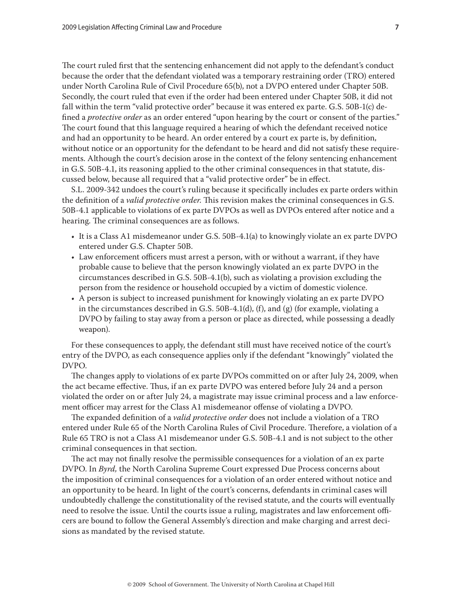The court ruled first that the sentencing enhancement did not apply to the defendant's conduct because the order that the defendant violated was a temporary restraining order (TRO) entered under North Carolina Rule of Civil Procedure 65(b), not a DVPO entered under Chapter 50B. Secondly, the court ruled that even if the order had been entered under Chapter 50B, it did not fall within the term "valid protective order" because it was entered ex parte. G.S. 50B-1(c) defined a *protective order* as an order entered "upon hearing by the court or consent of the parties." The court found that this language required a hearing of which the defendant received notice and had an opportunity to be heard. An order entered by a court ex parte is, by definition, without notice or an opportunity for the defendant to be heard and did not satisfy these requirements. Although the court's decision arose in the context of the felony sentencing enhancement in G.S. 50B-4.1, its reasoning applied to the other criminal consequences in that statute, discussed below, because all required that a "valid protective order" be in effect.

S.L. 2009-342 undoes the court's ruling because it specifically includes ex parte orders within the definition of a *valid protective order*. This revision makes the criminal consequences in G.S. 50B-4.1 applicable to violations of ex parte DVPOs as well as DVPOs entered after notice and a hearing. The criminal consequences are as follows.

- • It is a Class A1 misdemeanor under G.S. 50B-4.1(a) to knowingly violate an ex parte DVPO entered under G.S. Chapter 50B.
- • Law enforcement officers must arrest a person, with or without a warrant, if they have probable cause to believe that the person knowingly violated an ex parte DVPO in the circumstances described in G.S. 50B-4.1(b), such as violating a provision excluding the person from the residence or household occupied by a victim of domestic violence.
- • A person is subject to increased punishment for knowingly violating an ex parte DVPO in the circumstances described in G.S.  $50B-4.1(d)$ , (f), and (g) (for example, violating a DVPO by failing to stay away from a person or place as directed, while possessing a deadly weapon).

For these consequences to apply, the defendant still must have received notice of the court's entry of the DVPO, as each consequence applies only if the defendant "knowingly" violated the DVPO.

The changes apply to violations of ex parte DVPOs committed on or after July 24, 2009, when the act became effective. Thus, if an ex parte DVPO was entered before July 24 and a person violated the order on or after July 24, a magistrate may issue criminal process and a law enforcement officer may arrest for the Class A1 misdemeanor offense of violating a DVPO.

The expanded definition of a *valid protective order* does not include a violation of a TRO entered under Rule 65 of the North Carolina Rules of Civil Procedure. Therefore, a violation of a Rule 65 TRO is not a Class A1 misdemeanor under G.S. 50B-4.1 and is not subject to the other criminal consequences in that section.

The act may not finally resolve the permissible consequences for a violation of an ex parte DVPO. In *Byrd,* the North Carolina Supreme Court expressed Due Process concerns about the imposition of criminal consequences for a violation of an order entered without notice and an opportunity to be heard. In light of the court's concerns, defendants in criminal cases will undoubtedly challenge the constitutionality of the revised statute, and the courts will eventually need to resolve the issue. Until the courts issue a ruling, magistrates and law enforcement officers are bound to follow the General Assembly's direction and make charging and arrest decisions as mandated by the revised statute.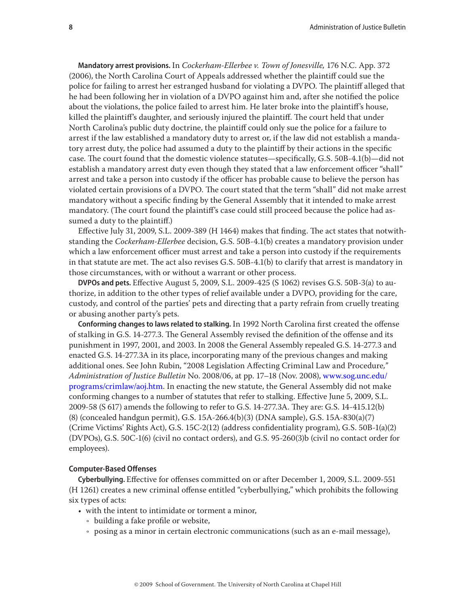**Mandatory arrest provisions.** In *Cockerham-Ellerbee v. Town of Jonesville,* 176 N.C. App. 372 (2006), the North Carolina Court of Appeals addressed whether the plaintiff could sue the police for failing to arrest her estranged husband for violating a DVPO. The plaintiff alleged that he had been following her in violation of a DVPO against him and, after she notified the police about the violations, the police failed to arrest him. He later broke into the plaintiff's house, killed the plaintiff's daughter, and seriously injured the plaintiff. The court held that under North Carolina's public duty doctrine, the plaintiff could only sue the police for a failure to arrest if the law established a mandatory duty to arrest or, if the law did not establish a mandatory arrest duty, the police had assumed a duty to the plaintiff by their actions in the specific case. The court found that the domestic violence statutes—specifically, G.S. 50B-4.1(b)—did not establish a mandatory arrest duty even though they stated that a law enforcement officer "shall" arrest and take a person into custody if the officer has probable cause to believe the person has violated certain provisions of a DVPO. The court stated that the term "shall" did not make arrest mandatory without a specific finding by the General Assembly that it intended to make arrest mandatory. (The court found the plaintiff's case could still proceed because the police had assumed a duty to the plaintiff.)

Effective July 31, 2009, S.L. 2009-389 (H 1464) makes that finding. The act states that notwithstanding the *Cockerham-Ellerbee* decision, G.S. 50B-4.1(b) creates a mandatory provision under which a law enforcement officer must arrest and take a person into custody if the requirements in that statute are met. The act also revises G.S. 50B-4.1(b) to clarify that arrest is mandatory in those circumstances, with or without a warrant or other process.

**DVPOs and pets.** Effective August 5, 2009, S.L. 2009-425 (S 1062) revises G.S. 50B-3(a) to authorize, in addition to the other types of relief available under a DVPO, providing for the care, custody, and control of the parties' pets and directing that a party refrain from cruelly treating or abusing another party's pets.

**Conforming changes to laws related to stalking.** In 1992 North Carolina first created the offense of stalking in G.S. 14-277.3. The General Assembly revised the definition of the offense and its punishment in 1997, 2001, and 2003. In 2008 the General Assembly repealed G.S. 14-277.3 and enacted G.S. 14-277.3A in its place, incorporating many of the previous changes and making additional ones. See John Rubin, "2008 Legislation Affecting Criminal Law and Procedure*," Administration of Justice Bulletin* No. 2008/06, at pp. 17–18 (Nov. 2008), [www.sog.unc.edu/](http://www.sog.unc.edu/programs/crimlaw/aoj.htm) [programs/crimlaw/aoj.htm.](http://www.sog.unc.edu/programs/crimlaw/aoj.htm) In enacting the new statute, the General Assembly did not make conforming changes to a number of statutes that refer to stalking. Effective June 5, 2009, S.L. 2009-58 (S 617) amends the following to refer to G.S. 14-277.3A. They are: G.S. 14-415.12(b) (8) (concealed handgun permit), G.S. 15A-266.4(b)(3) (DNA sample), G.S. 15A-830(a)(7) (Crime Victims' Rights Act), G.S. 15C-2(12) (address confidentiality program), G.S. 50B-1(a)(2) (DVPOs), G.S. 50C-1(6) (civil no contact orders), and G.S. 95-260(3)b (civil no contact order for employees).

# **Computer-Based Offenses**

**Cyberbullying.** Effective for offenses committed on or after December 1, 2009, S.L. 2009-551 (H 1261) creates a new criminal offense entitled "cyberbullying," which prohibits the following six types of acts:

- with the intent to intimidate or torment a minor,
	- building a fake profile or website,
	- $\circ$  posing as a minor in certain electronic communications (such as an e-mail message),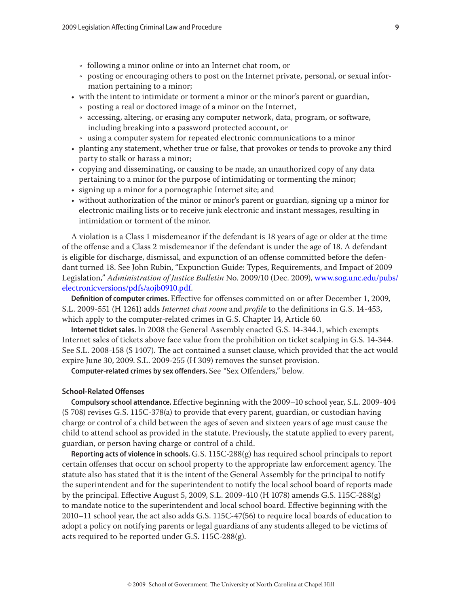- $\cdot$  following a minor online or into an Internet chat room, or
- Ǟ posting or encouraging others to post on the Internet private, personal, or sexual information pertaining to a minor;
- with the intent to intimidate or torment a minor or the minor's parent or guardian,
	- posting a real or doctored image of a minor on the Internet,
	- accessing, altering, or erasing any computer network, data, program, or software, including breaking into a password protected account, or
	- Ǟ using a computer system for repeated electronic communications to a minor
- planting any statement, whether true or false, that provokes or tends to provoke any third party to stalk or harass a minor;
- copying and disseminating, or causing to be made, an unauthorized copy of any data pertaining to a minor for the purpose of intimidating or tormenting the minor;
- signing up a minor for a pornographic Internet site; and
- without authorization of the minor or minor's parent or guardian, signing up a minor for electronic mailing lists or to receive junk electronic and instant messages, resulting in intimidation or torment of the minor.

A violation is a Class 1 misdemeanor if the defendant is 18 years of age or older at the time of the offense and a Class 2 misdemeanor if the defendant is under the age of 18. A defendant is eligible for discharge, dismissal, and expunction of an offense committed before the defendant turned 18. See John Rubin, "Expunction Guide: Types, Requirements, and Impact of 2009 Legislation," *Administration of Justice Bulletin* No. 2009/10 (Dec. 2009), [www.sog.unc.edu/pubs/](www.sog.unc.edu/pubs/electronicversions/pdfs/aojb0910.pdf) [electronicversions/pdfs/aojb0910.pdf](www.sog.unc.edu/pubs/electronicversions/pdfs/aojb0910.pdf).

**Definition of computer crimes.** Effective for offenses committed on or after December 1, 2009, S.L. 2009-551 (H 1261) adds *Internet chat room* and *profile* to the definitions in G.S. 14-453, which apply to the computer-related crimes in G.S. Chapter 14, Article 60*.*

**Internet ticket sales.** In 2008 the General Assembly enacted G.S. 14-344.1, which exempts Internet sales of tickets above face value from the prohibition on ticket scalping in G.S. 14-344. See S.L. 2008-158 (S 1407). The act contained a sunset clause, which provided that the act would expire June 30, 2009. S.L. 2009-255 (H 309) removes the sunset provision.

**Computer-related crimes by sex offenders.** See *"*Sex Offenders," below.

# **School-Related Offenses**

**Compulsory school attendance.** Effective beginning with the 2009–10 school year, S.L. 2009-404 (S 708) revises G.S. 115C-378(a) to provide that every parent, guardian, or custodian having charge or control of a child between the ages of seven and sixteen years of age must cause the child to attend school as provided in the statute. Previously, the statute applied to every parent, guardian, or person having charge or control of a child.

**Reporting acts of violence in schools.** G.S. 115C-288(g) has required school principals to report certain offenses that occur on school property to the appropriate law enforcement agency. The statute also has stated that it is the intent of the General Assembly for the principal to notify the superintendent and for the superintendent to notify the local school board of reports made by the principal. Effective August 5, 2009, S.L. 2009-410 (H 1078) amends G.S. 115C-288(g) to mandate notice to the superintendent and local school board. Effective beginning with the 2010–11 school year, the act also adds G.S. 115C-47(56) to require local boards of education to adopt a policy on notifying parents or legal guardians of any students alleged to be victims of acts required to be reported under G.S. 115C-288(g).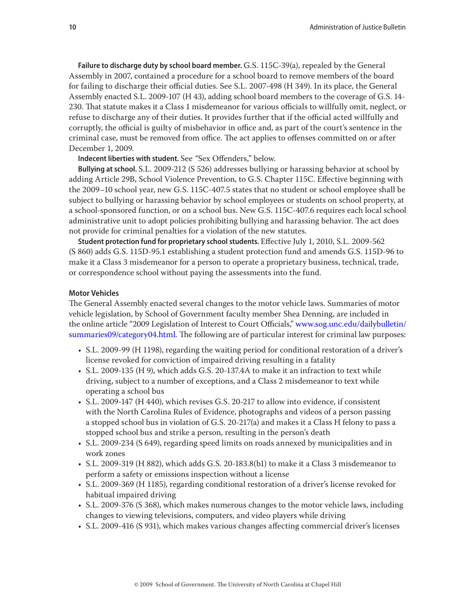**Failure to discharge duty by school board member.** G.S. 115C-39(a), repealed by the General Assembly in 2007, contained a procedure for a school board to remove members of the board for failing to discharge their official duties. See S.L. 2007-498 (H 349). In its place, the General Assembly enacted S.L. 2009-107 (H 43), adding school board members to the coverage of G.S. 14- 230. That statute makes it a Class 1 misdemeanor for various officials to willfully omit, neglect, or refuse to discharge any of their duties. It provides further that if the official acted willfully and corruptly, the official is guilty of misbehavior in office and, as part of the court's sentence in the criminal case, must be removed from office. The act applies to offenses committed on or after December 1, 2009.

**Indecent liberties with student.** See *"*Sex Offenders," below.

**Bullying at school.** S.L. 2009-212 (S 526) addresses bullying or harassing behavior at school by adding Article 29B, School Violence Prevention, to G.S. Chapter 115C. Effective beginning with the 2009–10 school year, new G.S. 115C-407.5 states that no student or school employee shall be subject to bullying or harassing behavior by school employees or students on school property, at a school-sponsored function, or on a school bus. New G.S. 115C-407.6 requires each local school administrative unit to adopt policies prohibiting bullying and harassing behavior. The act does not provide for criminal penalties for a violation of the new statutes.

**Student protection fund for proprietary school students.** Effective July 1, 2010, S.L. 2009-562 (S 860) adds G.S. 115D-95.1 establishing a student protection fund and amends G.S. 115D-96 to make it a Class 3 misdemeanor for a person to operate a proprietary business, technical, trade, or correspondence school without paying the assessments into the fund.

#### **Motor Vehicles**

The General Assembly enacted several changes to the motor vehicle laws. Summaries of motor vehicle legislation, by School of Government faculty member Shea Denning, are included in the online article "2009 Legislation of Interest to Court Officials," [www.sog.unc.edu/dailybulletin/](http://www.sog.unc.edu/dailybulletin/summaries09/category04.html) [summaries09/category04.html](http://www.sog.unc.edu/dailybulletin/summaries09/category04.html). The following are of particular interest for criminal law purposes:

- • S.L. 2009-99 (H 1198), regarding the waiting period for conditional restoration of a driver's license revoked for conviction of impaired driving resulting in a fatality
- • S.L. 2009-135 (H 9), which adds G.S. 20-137.4A to make it an infraction to text while driving, subject to a number of exceptions, and a Class 2 misdemeanor to text while operating a school bus
- • S.L. 2009-147 (H 440), which revises G.S. 20-217 to allow into evidence, if consistent with the North Carolina Rules of Evidence, photographs and videos of a person passing a stopped school bus in violation of G.S. 20-217(a) and makes it a Class H felony to pass a stopped school bus and strike a person, resulting in the person's death
- • S.L. 2009-234 (S 649), regarding speed limits on roads annexed by municipalities and in work zones
- • S.L. 2009-319 (H 882), which adds G.S. 20-183.8(b1) to make it a Class 3 misdemeanor to perform a safety or emissions inspection without a license
- • S.L. 2009-369 (H 1185), regarding conditional restoration of a driver's license revoked for habitual impaired driving
- • S.L. 2009-376 (S 368), which makes numerous changes to the motor vehicle laws, including changes to viewing televisions, computers, and video players while driving
- • S.L. 2009-416 (S 931), which makes various changes affecting commercial driver's licenses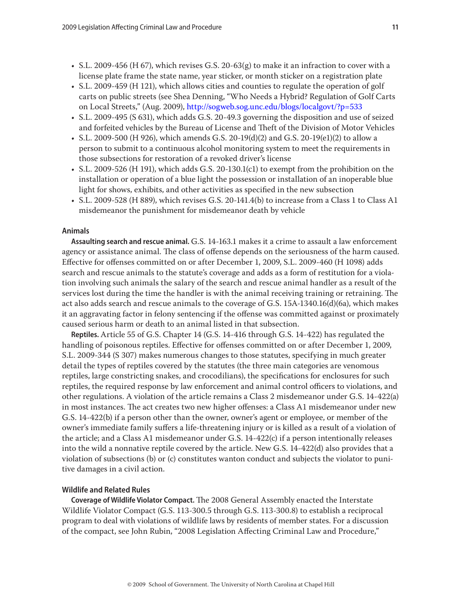- S.L. 2009-456 (H 67), which revises G.S. 20-63(g) to make it an infraction to cover with a license plate frame the state name, year sticker, or month sticker on a registration plate
- S.L. 200[9](http://www.ncleg.net/EnactedLegislation/SessionLaws/HTML/2009-2010/SL2009-459.html)-459 (H 121), which allows cities and counties to regulate the operation of golf carts on public streets (see Shea Denning, "Who Needs a Hybrid? Regulation of Golf Carts on Local Streets," (Aug. 2009), <http://sogweb.sog.unc.edu/blogs/localgovt/?p=533>
- • S.L. 2009-495 (S 631), which adds G.S. 20-49.3 governing the disposition and use of seized and forfeited vehicles by the Bureau of License and Theft of the Division of Motor Vehicles
- S.L. 2009-500 (H 926), which amends G.S. 20-19(d)(2) and G.S. 20-19(e1)(2) to allow a person to submit to a continuous alcohol monitoring system to meet the requirements in those subsections for restoration of a revoked driver's license
- S.L. 2009-526 (H 191), which adds G.S. 20-130.1(c1) to exempt from the prohibition on the installation or operation of a blue light the possession or installation of an inoperable blue light for shows, exhibits, and other activities as specified in the new subsection
- S.L. 2009-528 (H 889), which revises G.S. 20-141.4(b) to increase from a Class 1 to Class A1 misdemeanor the punishment for misdemeanor death by vehicle

#### **Animals**

**Assaulting search and rescue animal.** G.S. 14-163.1 makes it a crime to assault a law enforcement agency or assistance animal. The class of offense depends on the seriousness of the harm caused. Effective for offenses committed on or after December 1, 2009, S.L. 2009-460 (H 1098) adds search and rescue animals to the statute's coverage and adds as a form of restitution for a violation involving such animals the salary of the search and rescue animal handler as a result of the services lost during the time the handler is with the animal receiving training or retraining. The act also adds search and rescue animals to the coverage of G.S. 15A-1340.16(d)(6a), which makes it an aggravating factor in felony sentencing if the offense was committed against or proximately caused serious harm or death to an animal listed in that subsection.

**Reptiles.** Article 55 of G.S. Chapter 14 (G.S. 14-416 through G.S. 14-422) has regulated the handling of poisonous reptiles. Effective for offenses committed on or after December 1, 2009, S.L. 2009-344 (S 307) makes numerous changes to those statutes, specifying in much greater detail the types of reptiles covered by the statutes (the three main categories are venomous reptiles, large constricting snakes, and crocodilians), the specifications for enclosures for such reptiles, the required response by law enforcement and animal control officers to violations, and other regulations. A violation of the article remains a Class 2 misdemeanor under G.S. 14-422(a) in most instances. The act creates two new higher offenses: a Class A1 misdemeanor under new G.S. 14-422(b) if a person other than the owner, owner's agent or employee, or member of the owner's immediate family suffers a life-threatening injury or is killed as a result of a violation of the article; and a Class A1 misdemeanor under G.S. 14-422(c) if a person intentionally releases into the wild a nonnative reptile covered by the article. New G.S. 14-422(d) also provides that a violation of subsections (b) or (c) constitutes wanton conduct and subjects the violator to punitive damages in a civil action.

# **Wildlife and Related Rules**

**Coverage of Wildlife Violator Compact.** The 2008 General Assembly enacted the Interstate Wildlife Violator Compact (G.S. 113-300.5 through G.S. 113-300.8) to establish a reciprocal program to deal with violations of wildlife laws by residents of member states. For a discussion of the compact, see John Rubin, "2008 Legislation Affecting Criminal Law and Procedure,"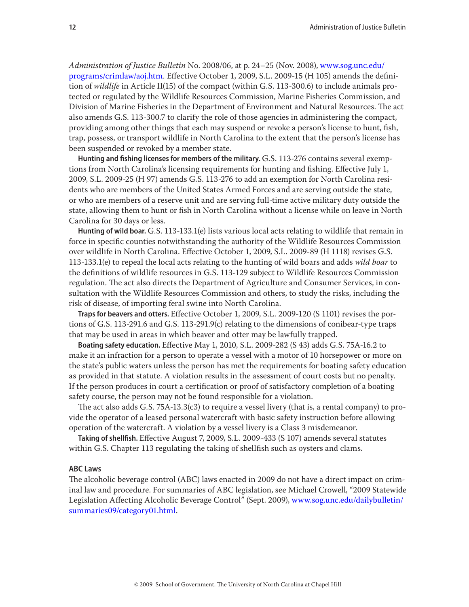*Administration of Justice Bulletin* No. 2008/06, at p. 24–25 (Nov. 2008), [www.sog.unc.edu/](http://www.sog.unc.edu/programs/crimlaw/aoj.htm) [programs/crimlaw/aoj.htm.](http://www.sog.unc.edu/programs/crimlaw/aoj.htm) Effective October 1, 2009, S.L. 2009-15 (H 105) amends the definition of *wildlife* in Article II(15) of the compact (within G.S. 113-300.6) to include animals protected or regulated by the Wildlife Resources Commission, Marine Fisheries Commission, and Division of Marine Fisheries in the Department of Environment and Natural Resources. The act also amends G.S. 113-300.7 to clarify the role of those agencies in administering the compact, providing among other things that each may suspend or revoke a person's license to hunt, fish, trap, possess, or transport wildlife in North Carolina to the extent that the person's license has been suspended or revoked by a member state.

**Hunting and fishing licenses for members of the military.** G.S. 113-276 contains several exemptions from North Carolina's licensing requirements for hunting and fishing. Effective July 1, 2009, S.L. 2009-25 (H 97) amends G.S. 113-276 to add an exemption for North Carolina residents who are members of the United States Armed Forces and are serving outside the state, or who are members of a reserve unit and are serving full-time active military duty outside the state, allowing them to hunt or fish in North Carolina without a license while on leave in North Carolina for 30 days or less.

**Hunting of wild boar.** G.S. 113-133.1(e) lists various local acts relating to wildlife that remain in force in specific counties notwithstanding the authority of the Wildlife Resources Commission over wildlife in North Carolina. Effective October 1, 2009, S.L. 2009-89 (H 1118) revises G.S. 113-133.1(e) to repeal the local acts relating to the hunting of wild boars and adds *wild boar* to the definitions of wildlife resources in G.S. 113-129 subject to Wildlife Resources Commission regulation. The act also directs the Department of Agriculture and Consumer Services, in consultation with the Wildlife Resources Commission and others, to study the risks, including the risk of disease, of importing feral swine into North Carolina.

**Traps for beavers and otters.** Effective October 1, 2009, S.L. 2009-120 (S 1101) revises the portions of G.S. 113-291.6 and G.S. 113-291.9(c) relating to the dimensions of conibear-type traps that may be used in areas in which beaver and otter may be lawfully trapped.

**Boating safety education.** Effective May 1, 2010, S.L. 2009-282 (S 43) adds G.S. 75A-16.2 to make it an infraction for a person to operate a vessel with a motor of 10 horsepower or more on the state's public waters unless the person has met the requirements for boating safety education as provided in that statute. A violation results in the assessment of court costs but no penalty. If the person produces in court a certification or proof of satisfactory completion of a boating safety course, the person may not be found responsible for a violation.

The act also adds G.S. 75A-13.3(c3) to require a vessel livery (that is, a rental company) to provide the operator of a leased personal watercraft with basic safety instruction before allowing operation of the watercraft. A violation by a vessel livery is a Class 3 misdemeanor.

**Taking of shellfish.** Effective August 7, 2009, S.L. 2009-433 (S 107) amends several statutes within G.S. Chapter 113 regulating the taking of shellfish such as oysters and clams.

#### **ABC Laws**

The alcoholic beverage control (ABC) laws enacted in 2009 do not have a direct impact on criminal law and procedure. For summaries of ABC legislation, see Michael Crowell, "2009 Statewide Legislation Affecting Alcoholic Beverage Control" (Sept. 2009), [www.sog.unc.edu/dailybulletin/](http://www.sog.unc.edu/dailybulletin/summaries09/category01.html) [summaries09/category01.html.](http://www.sog.unc.edu/dailybulletin/summaries09/category01.html)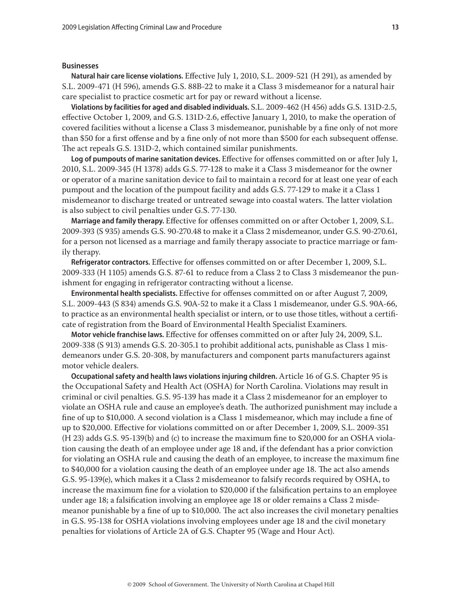#### **Businesses**

**Natural hair care license violations.** Effective July 1, 2010, S.L. 2009-521 (H 291), as amended by S.L. 2009-471 (H 596), amends G.S. 88B-22 to make it a Class 3 misdemeanor for a natural hair care specialist to practice cosmetic art for pay or reward without a license.

**Violations by facilities for aged and disabled individuals.** S.L. 2009-462 (H 456) adds G.S. 131D-2.5, effective October 1, 2009, and G.S. 131D-2.6, effective January 1, 2010, to make the operation of covered facilities without a license a Class 3 misdemeanor, punishable by a fine only of not more than \$50 for a first offense and by a fine only of not more than \$500 for each subsequent offense. The act repeals G.S. 131D-2, which contained similar punishments.

**Log of pumpouts of marine sanitation devices.** Effective for offenses committed on or after July 1, 2010, S.L. 2009-345 (H 1378) adds G.S. 77-128 to make it a Class 3 misdemeanor for the owner or operator of a marine sanitation device to fail to maintain a record for at least one year of each pumpout and the location of the pumpout facility and adds G.S. 77-129 to make it a Class 1 misdemeanor to discharge treated or untreated sewage into coastal waters. The latter violation is also subject to civil penalties under G.S. 77-130.

**Marriage and family therapy.** Effective for offenses committed on or after October 1, 2009, S.L. 2009-393 (S 935) amends G.S. 90-270.48 to make it a Class 2 misdemeanor, under G.S. 90-270.61, for a person not licensed as a marriage and family therapy associate to practice marriage or family therapy.

**Refrigerator contractors.** Effective for offenses committed on or after December 1, 2009, S.L. 2009-333 (H 1105) amends G.S. 87-61 to reduce from a Class 2 to Class 3 misdemeanor the punishment for engaging in refrigerator contracting without a license.

**Environmental health specialists.** Effective for offenses committed on or after August 7, 2009, S.L. 2009-443 (S 834) amends G.S. 90A-52 to make it a Class 1 misdemeanor, under G.S. 90A-66, to practice as an environmental health specialist or intern, or to use those titles, without a certificate of registration from the Board of Environmental Health Specialist Examiners.

**Motor vehicle franchise laws.** Effective for offenses committed on or after July 24, 2009, S.L. 2009-338 (S 913) amends G.S. 20-305.1 to prohibit additional acts, punishable as Class 1 misdemeanors under G.S. 20-308, by manufacturers and component parts manufacturers against motor vehicle dealers.

**Occupational safety and health laws violations injuring children.** Article 16 of G.S. Chapter 95 is the Occupational Safety and Health Act (OSHA) for North Carolina. Violations may result in criminal or civil penalties. G.S. 95-139 has made it a Class 2 misdemeanor for an employer to violate an OSHA rule and cause an employee's death. The authorized punishment may include a fine of up to \$10,000. A second violation is a Class 1 misdemeanor, which may include a fine of up to \$20,000. Effective for violations committed on or after December 1, 2009, S.L. 2009-351 (H 23) adds G.S. 95-139(b) and (c) to increase the maximum fine to \$20,000 for an OSHA violation causing the death of an employee under age 18 and, if the defendant has a prior conviction for violating an OSHA rule and causing the death of an employee, to increase the maximum fine to \$40,000 for a violation causing the death of an employee under age 18. The act also amends G.S. 95-139(e), which makes it a Class 2 misdemeanor to falsify records required by OSHA, to increase the maximum fine for a violation to \$20,000 if the falsification pertains to an employee under age 18; a falsification involving an employee age 18 or older remains a Class 2 misdemeanor punishable by a fine of up to \$10,000. The act also increases the civil monetary penalties in G.S. 95-138 for OSHA violations involving employees under age 18 and the civil monetary penalties for violations of Article 2A of G.S. Chapter 95 (Wage and Hour Act).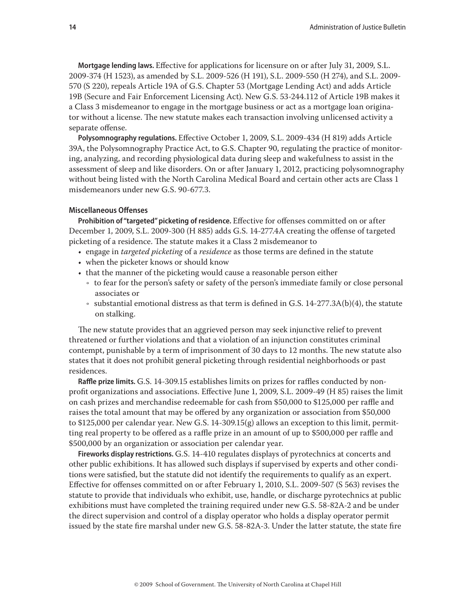**Mortgage lending laws.** Effective for applications for licensure on or after July 31, 2009, S.L. 2009-374 (H 1523), as amended by S.L. 2009-526 (H 191), S.L. 2009-550 (H 274), and S.L. 2009- 570 (S 220), repeals Article 19A of G.S. Chapter 53 (Mortgage Lending Act) and adds Article 19B (Secure and Fair Enforcement Licensing Act). New G.S. 53-244.112 of Article 19B makes it a Class 3 misdemeanor to engage in the mortgage business or act as a mortgage loan originator without a license. The new statute makes each transaction involving unlicensed activity a separate offense.

**Polysomnography regulations.** Effective October 1, 2009, S.L. 2009-434 (H 819) adds Article 39A, the Polysomnography Practice Act, to G.S. Chapter 90, regulating the practice of monitoring, analyzing, and recording physiological data during sleep and wakefulness to assist in the assessment of sleep and like disorders. On or after January 1, 2012, practicing polysomnography without being listed with the North Carolina Medical Board and certain other acts are Class 1 misdemeanors under new G.S. 90-677.3.

# **Miscellaneous Offenses**

**Prohibition of "targeted" picketing of residence.** Effective for offenses committed on or after December 1, 2009, S.L. 2009-300 (H 885) adds G.S. 14-277.4A creating the offense of targeted picketing of a residence. The statute makes it a Class 2 misdemeanor to

- engage in *targeted picketing* of a *residence* as those terms are defined in the statute
- when the picketer knows or should know
- that the manner of the picketing would cause a reasonable person either
	- to fear for the person's safety or safety of the person's immediate family or close personal associates or
	- $\cdot$  substantial emotional distress as that term is defined in G.S. 14-277.3A(b)(4), the statute on stalking.

The new statute provides that an aggrieved person may seek injunctive relief to prevent threatened or further violations and that a violation of an injunction constitutes criminal contempt, punishable by a term of imprisonment of 30 days to 12 months. The new statute also states that it does not prohibit general picketing through residential neighborhoods or past residences.

**Raffle prize limits.** G.S. 14-309.15 establishes limits on prizes for raffles conducted by nonprofit organizations and associations. Effective June 1, 2009, S.L. 2009-49 (H 85) raises the limit on cash prizes and merchandise redeemable for cash from \$50,000 to \$125,000 per raffle and raises the total amount that may be offered by any organization or association from \$50,000 to \$125,000 per calendar year. New G.S. 14-309.15(g) allows an exception to this limit, permitting real property to be offered as a raffle prize in an amount of up to \$500,000 per raffle and \$500,000 by an organization or association per calendar year.

**Fireworks display restrictions.** G.S. 14-410 regulates displays of pyrotechnics at concerts and other public exhibitions. It has allowed such displays if supervised by experts and other conditions were satisfied, but the statute did not identify the requirements to qualify as an expert. Effective for offenses committed on or after February 1, 2010, S.L. 2009-507 (S 563) revises the statute to provide that individuals who exhibit, use, handle, or discharge pyrotechnics at public exhibitions must have completed the training required under new G.S. 58-82A-2 and be under the direct supervision and control of a display operator who holds a display operator permit issued by the state fire marshal under new G.S. 58-82A-3. Under the latter statute, the state fire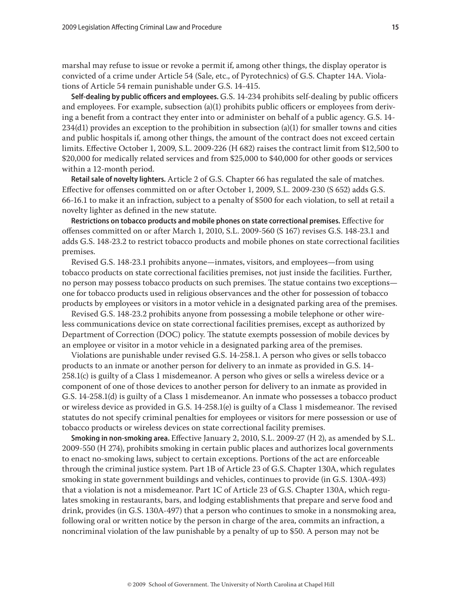marshal may refuse to issue or revoke a permit if, among other things, the display operator is convicted of a crime under Article 54 (Sale, etc., of Pyrotechnics) of G.S. Chapter 14A. Violations of Article 54 remain punishable under G.S. 14-415.

**Self-dealing by public officers and employees.** G.S. 14-234 prohibits self-dealing by public officers and employees. For example, subsection (a)(1) prohibits public officers or employees from deriving a benefit from a contract they enter into or administer on behalf of a public agency. G.S. 14- 234(d1) provides an exception to the prohibition in subsection (a)(1) for smaller towns and cities and public hospitals if, among other things, the amount of the contract does not exceed certain limits. Effective October 1, 2009, S.L. 2009-226 (H 682) raises the contract limit from \$12,500 to \$20,000 for medically related services and from \$25,000 to \$40,000 for other goods or services within a 12-month period.

**Retail sale of novelty lighters.** Article 2 of G.S. Chapter 66 has regulated the sale of matches. Effective for offenses committed on or after October 1, 2009, S.L. 2009-230 (S 652) adds G.S. 66-16.1 to make it an infraction, subject to a penalty of \$500 for each violation, to sell at retail a novelty lighter as defined in the new statute.

**Restrictions on tobacco products and mobile phones on state correctional premises.** Effective for offenses committed on or after March 1, 2010, S.L. 2009-560 (S 167) revises G.S. 148-23.1 and adds G.S. 148-23.2 to restrict tobacco products and mobile phones on state correctional facilities premises.

Revised G.S. 148-23.1 prohibits anyone—inmates, visitors, and employees—from using tobacco products on state correctional facilities premises, not just inside the facilities. Further, no person may possess tobacco products on such premises. The statue contains two exceptions one for tobacco products used in religious observances and the other for possession of tobacco products by employees or visitors in a motor vehicle in a designated parking area of the premises.

Revised G.S. 148-23.2 prohibits anyone from possessing a mobile telephone or other wireless communications device on state correctional facilities premises, except as authorized by Department of Correction (DOC) policy. The statute exempts possession of mobile devices by an employee or visitor in a motor vehicle in a designated parking area of the premises.

Violations are punishable under revised G.S. 14-258.1. A person who gives or sells tobacco products to an inmate or another person for delivery to an inmate as provided in G.S. 14- 258.1(c) is guilty of a Class 1 misdemeanor. A person who gives or sells a wireless device or a component of one of those devices to another person for delivery to an inmate as provided in G.S. 14-258.1(d) is guilty of a Class 1 misdemeanor. An inmate who possesses a tobacco product or wireless device as provided in G.S. 14-258.1(e) is guilty of a Class 1 misdemeanor. The revised statutes do not specify criminal penalties for employees or visitors for mere possession or use of tobacco products or wireless devices on state correctional facility premises.

**Smoking in non-smoking area.** Effective January 2, 2010, S.L. 2009-27 (H 2), as amended by S.L. 2009-550 (H 274), prohibits smoking in certain public places and authorizes local governments to enact no-smoking laws, subject to certain exceptions. Portions of the act are enforceable through the criminal justice system. Part 1B of Article 23 of G.S. Chapter 130A, which regulates smoking in state government buildings and vehicles, continues to provide (in G.S. 130A-493) that a violation is not a misdemeanor. Part 1C of Article 23 of G.S. Chapter 130A, which regulates smoking in restaurants, bars, and lodging establishments that prepare and serve food and drink, provides (in G.S. 130A-497) that a person who continues to smoke in a nonsmoking area, following oral or written notice by the person in charge of the area, commits an infraction, a noncriminal violation of the law punishable by a penalty of up to \$50. A person may not be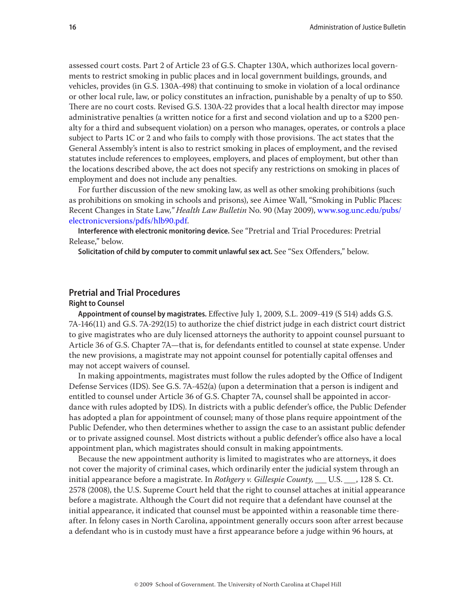assessed court costs. Part 2 of Article 23 of G.S. Chapter 130A, which authorizes local governments to restrict smoking in public places and in local government buildings, grounds, and vehicles, provides (in G.S. 130A-498) that continuing to smoke in violation of a local ordinance or other local rule, law, or policy constitutes an infraction, punishable by a penalty of up to \$50. There are no court costs. Revised G.S. 130A-22 provides that a local health director may impose administrative penalties (a written notice for a first and second violation and up to a \$200 penalty for a third and subsequent violation) on a person who manages, operates, or controls a place subject to Parts 1C or 2 and who fails to comply with those provisions. The act states that the General Assembly's intent is also to restrict smoking in places of employment, and the revised statutes include references to employees, employers, and places of employment, but other than the locations described above, the act does not specify any restrictions on smoking in places of employment and does not include any penalties.

For further discussion of the new smoking law, as well as other smoking prohibitions (such as prohibitions on smoking in schools and prisons), see Aimee Wall, "Smoking in Public Places: Recent Changes in State Law*," Health Law Bulletin* No. 90 (May 2009), [www.sog.unc.edu/pubs/](http://www.sog.unc.edu/pubs/electronicversions/pdfs/hlb90.pdf) [electronicversions/pdfs/hlb90.pdf](http://www.sog.unc.edu/pubs/electronicversions/pdfs/hlb90.pdf).

**Interference with electronic monitoring device.** See "Pretrial and Trial Procedures: Pretrial Release," below.

**Solicitation of child by computer to commit unlawful sex act.** See "Sex Offenders," below.

# **Pretrial and Trial Procedures**

# **Right to Counsel**

**Appointment of counsel by magistrates.** Effective July 1, 2009, S.L. 2009-419 (S 514) adds G.S. 7A-146(11) and G.S. 7A-292(15) to authorize the chief district judge in each district court district to give magistrates who are duly licensed attorneys the authority to appoint counsel pursuant to Article 36 of G.S. Chapter 7A—that is, for defendants entitled to counsel at state expense. Under the new provisions, a magistrate may not appoint counsel for potentially capital offenses and may not accept waivers of counsel.

In making appointments, magistrates must follow the rules adopted by the Office of Indigent Defense Services (IDS). See G.S. 7A-452(a) (upon a determination that a person is indigent and entitled to counsel under Article 36 of G.S. Chapter 7A, counsel shall be appointed in accordance with rules adopted by IDS). In districts with a public defender's office, the Public Defender has adopted a plan for appointment of counsel; many of those plans require appointment of the Public Defender, who then determines whether to assign the case to an assistant public defender or to private assigned counsel. Most districts without a public defender's office also have a local appointment plan, which magistrates should consult in making appointments.

Because the new appointment authority is limited to magistrates who are attorneys, it does not cover the majority of criminal cases, which ordinarily enter the judicial system through an initial appearance before a magistrate. In *Rothgery v. Gillespie County, \_\_\_* U.S. *\_\_\_*, 128 S. Ct. 2578 (2008), the U.S. Supreme Court held that the right to counsel attaches at initial appearance before a magistrate. Although the Court did not require that a defendant have counsel at the initial appearance, it indicated that counsel must be appointed within a reasonable time thereafter. In felony cases in North Carolina, appointment generally occurs soon after arrest because a defendant who is in custody must have a first appearance before a judge within 96 hours, at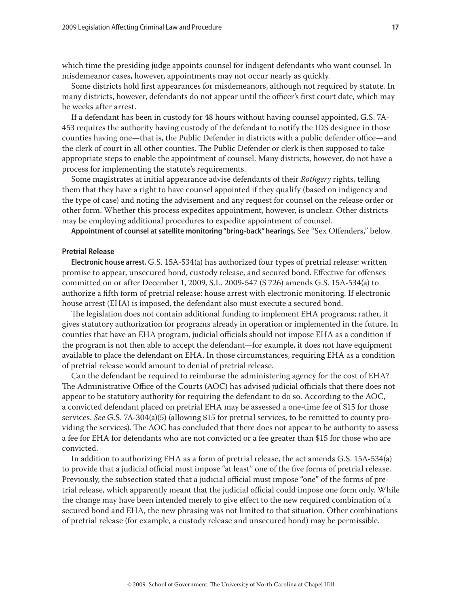which time the presiding judge appoints counsel for indigent defendants who want counsel. In misdemeanor cases, however, appointments may not occur nearly as quickly.

Some districts hold first appearances for misdemeanors, although not required by statute. In many districts, however, defendants do not appear until the officer's first court date, which may be weeks after arrest.

If a defendant has been in custody for 48 hours without having counsel appointed, G.S. 7A-453 requires the authority having custody of the defendant to notify the IDS designee in those counties having one—that is, the Public Defender in districts with a public defender office—and the clerk of court in all other counties. The Public Defender or clerk is then supposed to take appropriate steps to enable the appointment of counsel. Many districts, however, do not have a process for implementing the statute's requirements.

Some magistrates at initial appearance advise defendants of their *Rothgery* rights, telling them that they have a right to have counsel appointed if they qualify (based on indigency and the type of case) and noting the advisement and any request for counsel on the release order or other form. Whether this process expedites appointment, however, is unclear. Other districts may be employing additional procedures to expedite appointment of counsel.

**Appointment of counsel at satellite monitoring "bring-back" hearings.** See "Sex Offenders," below.

# **Pretrial Release**

**Electronic house arrest.** G.S. 15A-534(a) has authorized four types of pretrial release: written promise to appear, unsecured bond, custody release, and secured bond. Effective for offenses committed on or after December 1, 2009, S.L. 2009-547 (S 726) amends G.S. 15A-534(a) to authorize a fifth form of pretrial release: house arrest with electronic monitoring. If electronic house arrest (EHA) is imposed, the defendant also must execute a secured bond.

The legislation does not contain additional funding to implement EHA programs; rather, it gives statutory authorization for programs already in operation or implemented in the future. In counties that have an EHA program, judicial officials should not impose EHA as a condition if the program is not then able to accept the defendant—for example, it does not have equipment available to place the defendant on EHA. In those circumstances, requiring EHA as a condition of pretrial release would amount to denial of pretrial release.

Can the defendant be required to reimburse the administering agency for the cost of EHA? The Administrative Office of the Courts (AOC) has advised judicial officials that there does not appear to be statutory authority for requiring the defendant to do so. According to the AOC, a convicted defendant placed on pretrial EHA may be assessed a one-time fee of \$15 for those services. *See* G.S. 7A-304(a)(5) (allowing \$15 for pretrial services, to be remitted to county providing the services). The AOC has concluded that there does not appear to be authority to assess a fee for EHA for defendants who are not convicted or a fee greater than \$15 for those who are convicted.

In addition to authorizing EHA as a form of pretrial release, the act amends G.S. 15A-534(a) to provide that a judicial official must impose "at least" one of the five forms of pretrial release. Previously, the subsection stated that a judicial official must impose "one" of the forms of pretrial release, which apparently meant that the judicial official could impose one form only. While the change may have been intended merely to give effect to the new required combination of a secured bond and EHA, the new phrasing was not limited to that situation. Other combinations of pretrial release (for example, a custody release and unsecured bond) may be permissible.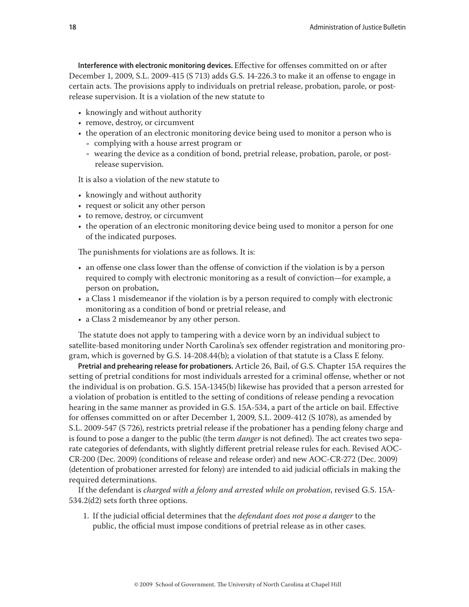**Interference with electronic monitoring devices.** Effective for offenses committed on or after December 1, 2009, S.L. 2009-415 (S 713) adds G.S. 14-226.3 to make it an offense to engage in certain acts. The provisions apply to individuals on pretrial release, probation, parole, or postrelease supervision. It is a violation of the new statute to

- knowingly and without authority
- remove, destroy, or circumvent
- the operation of an electronic monitoring device being used to monitor a person who is
	- Ǟ complying with a house arrest program or
	- Ǟ wearing the device as a condition of bond, pretrial release, probation, parole, or postrelease supervision.

It is also a violation of the new statute to

- knowingly and without authority
- request or solicit any other person
- to remove, destroy, or circumvent
- the operation of an electronic monitoring device being used to monitor a person for one of the indicated purposes.

The punishments for violations are as follows. It is:

- an offense one class lower than the offense of conviction if the violation is by a person required to comply with electronic monitoring as a result of conviction—for example, a person on probation,
- • a Class 1 misdemeanor if the violation is by a person required to comply with electronic monitoring as a condition of bond or pretrial release, and
- a Class 2 misdemeanor by any other person.

The statute does not apply to tampering with a device worn by an individual subject to satellite-based monitoring under North Carolina's sex offender registration and monitoring program, which is governed by G.S. 14-208.44(b); a violation of that statute is a Class E felony.

**Pretrial and prehearing release for probationers.** Article 26, Bail, of G.S. Chapter 15A requires the setting of pretrial conditions for most individuals arrested for a criminal offense, whether or not the individual is on probation. G.S. 15A-1345(b) likewise has provided that a person arrested for a violation of probation is entitled to the setting of conditions of release pending a revocation hearing in the same manner as provided in G.S. 15A-534, a part of the article on bail. Effective for offenses committed on or after December 1, 2009, S.L. 2009-412 (S 1078), as amended by S.L. 2009-547 (S 726), restricts pretrial release if the probationer has a pending felony charge and is found to pose a danger to the public (the term *danger* is not defined). The act creates two separate categories of defendants, with slightly different pretrial release rules for each. Revised AOC-CR-200 (Dec. 2009) (conditions of release and release order) and new AOC-CR-272 (Dec. 2009) (detention of probationer arrested for felony) are intended to aid judicial officials in making the required determinations.

If the defendant is *charged with a felony and arrested while on probation*, revised G.S. 15A-534.2(d2) sets forth three options.

1. If the judicial official determines that the *defendant does not pose a danger* to the public, the official must impose conditions of pretrial release as in other cases.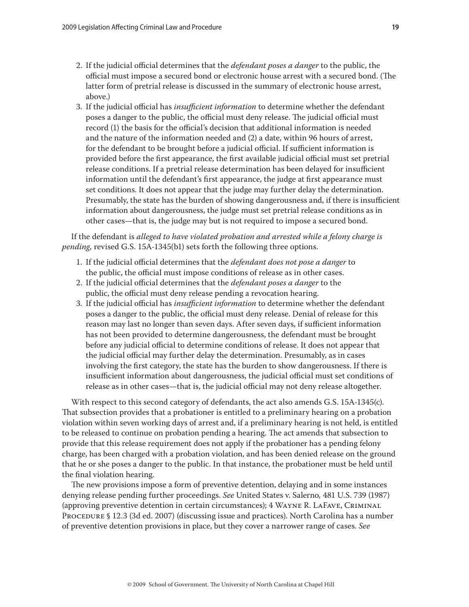- 2. If the judicial official determines that the *defendant poses a danger* to the public, the official must impose a secured bond or electronic house arrest with a secured bond. (The latter form of pretrial release is discussed in the summary of electronic house arrest, above.)
- 3. If the judicial official has *insufficient information* to determine whether the defendant poses a danger to the public, the official must deny release. The judicial official must record (1) the basis for the official's decision that additional information is needed and the nature of the information needed and (2) a date, within 96 hours of arrest, for the defendant to be brought before a judicial official. If sufficient information is provided before the first appearance, the first available judicial official must set pretrial release conditions. If a pretrial release determination has been delayed for insufficient information until the defendant's first appearance, the judge at first appearance must set conditions. It does not appear that the judge may further delay the determination. Presumably, the state has the burden of showing dangerousness and, if there is insufficient information about dangerousness, the judge must set pretrial release conditions as in other cases—that is, the judge may but is not required to impose a secured bond.

If the defendant is *alleged to have violated probation and arrested while a felony charge is pending,* revised G.S. 15A-1345(b1) sets forth the following three options.

- 1. If the judicial official determines that the *defendant does not pose a danger* to the public, the official must impose conditions of release as in other cases.
- 2. If the judicial official determines that the *defendant poses a danger* to the public, the official must deny release pending a revocation hearing.
- 3. If the judicial official has *insufficient information* to determine whether the defendant poses a danger to the public, the official must deny release. Denial of release for this reason may last no longer than seven days. After seven days, if sufficient information has not been provided to determine dangerousness, the defendant must be brought before any judicial official to determine conditions of release. It does not appear that the judicial official may further delay the determination. Presumably, as in cases involving the first category, the state has the burden to show dangerousness. If there is insufficient information about dangerousness, the judicial official must set conditions of release as in other cases—that is, the judicial official may not deny release altogether.

With respect to this second category of defendants, the act also amends G.S. 15A-1345(c). That subsection provides that a probationer is entitled to a preliminary hearing on a probation violation within seven working days of arrest and, if a preliminary hearing is not held, is entitled to be released to continue on probation pending a hearing. The act amends that subsection to provide that this release requirement does not apply if the probationer has a pending felony charge, has been charged with a probation violation, and has been denied release on the ground that he or she poses a danger to the public. In that instance, the probationer must be held until the final violation hearing.

The new provisions impose a form of preventive detention, delaying and in some instances denying release pending further proceedings. *See* United States v. Salerno*,* 481 U.S. 739 (1987) (approving preventive detention in certain circumstances); 4 Wayne R. LaFave, Criminal PROCEDURE § 12.3 (3d ed. 2007) (discussing issue and practices). North Carolina has a number of preventive detention provisions in place, but they cover a narrower range of cases. *See*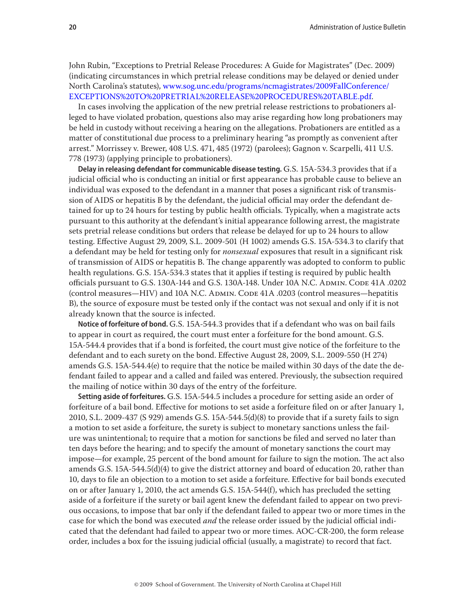John Rubin, "Exceptions to Pretrial Release Procedures: A Guide for Magistrates" (Dec. 2009) (indicating circumstances in which pretrial release conditions may be delayed or denied under North Carolina's statutes), [www.sog.unc.edu/programs/ncmagistrates/2009FallConference/](www.sog.unc.edu/programs/ncmagistrates/2009FallConference/EXCEPTIONS%20TO%20PRETRIAL%20RELEASE%20PROCEDURES%20TABLE.pdf) [EXCEPTIONS%20TO%20PRETRIAL%20RELEASE%20PROCEDURES%20TABLE.pdf](www.sog.unc.edu/programs/ncmagistrates/2009FallConference/EXCEPTIONS%20TO%20PRETRIAL%20RELEASE%20PROCEDURES%20TABLE.pdf).

In cases involving the application of the new pretrial release restrictions to probationers alleged to have violated probation, questions also may arise regarding how long probationers may be held in custody without receiving a hearing on the allegations. Probationers are entitled as a matter of constitutional due process to a preliminary hearing "as promptly as convenient after arrest." Morrissey v. Brewer, 408 U.S. 471, 485 (1972) (parolees); Gagnon v. Scarpelli, 411 U.S. 778 (1973) (applying principle to probationers).

**Delay in releasing defendant for communicable disease testing.** G.S. 15A-534.3 provides that if a judicial official who is conducting an initial or first appearance has probable cause to believe an individual was exposed to the defendant in a manner that poses a significant risk of transmission of AIDS or hepatitis B by the defendant, the judicial official may order the defendant detained for up to 24 hours for testing by public health officials. Typically, when a magistrate acts pursuant to this authority at the defendant's initial appearance following arrest, the magistrate sets pretrial release conditions but orders that release be delayed for up to 24 hours to allow testing. Effective August 29, 2009, S.L. 2009-501 (H 1002) amends G.S. 15A-534.3 to clarify that a defendant may be held for testing only for *nonsexual* exposures that result in a significant risk of transmission of AIDS or hepatitis B. The change apparently was adopted to conform to public health regulations. G.S. 15A-534.3 states that it applies if testing is required by public health officials pursuant to G.S. 130A-144 and G.S. 130A-148. Under 10A N.C. Admin. Code 41A .0202 (control measures—HIV) and 10A N.C. ADMIN. CODE 41A .0203 (control measures—hepatitis B), the source of exposure must be tested only if the contact was not sexual and only if it is not already known that the source is infected.

**Notice of forfeiture of bond.** G.S. 15A-544.3 provides that if a defendant who was on bail fails to appear in court as required, the court must enter a forfeiture for the bond amount. G.S. 15A-544.4 provides that if a bond is forfeited, the court must give notice of the forfeiture to the defendant and to each surety on the bond. Effective August 28, 2009, S.L. 2009-550 (H 274) amends G.S. 15A-544.4(e) to require that the notice be mailed within 30 days of the date the defendant failed to appear and a called and failed was entered. Previously, the subsection required the mailing of notice within 30 days of the entry of the forfeiture.

**Setting aside of forfeitures.** G.S. 15A-544.5 includes a procedure for setting aside an order of forfeiture of a bail bond. Effective for motions to set aside a forfeiture filed on or after January 1, 2010, S.L. 2009-437 (S 929) amends G.S. 15A-544.5(d)(8) to provide that if a surety fails to sign a motion to set aside a forfeiture, the surety is subject to monetary sanctions unless the failure was unintentional; to require that a motion for sanctions be filed and served no later than ten days before the hearing; and to specify the amount of monetary sanctions the court may impose—for example, 25 percent of the bond amount for failure to sign the motion. The act also amends G.S. 15A-544.5(d)(4) to give the district attorney and board of education 20, rather than 10, days to file an objection to a motion to set aside a forfeiture. Effective for bail bonds executed on or after January 1, 2010, the act amends G.S. 15A-544(f), which has precluded the setting aside of a forfeiture if the surety or bail agent knew the defendant failed to appear on two previous occasions, to impose that bar only if the defendant failed to appear two or more times in the case for which the bond was executed *and* the release order issued by the judicial official indicated that the defendant had failed to appear two or more times. AOC-CR-200, the form release order, includes a box for the issuing judicial official (usually, a magistrate) to record that fact.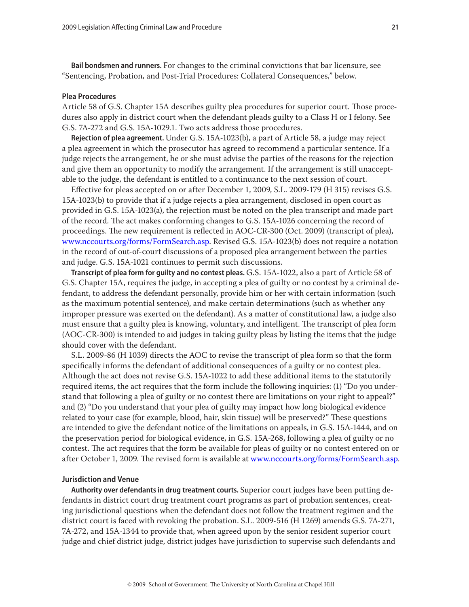**Bail bondsmen and runners.** For changes to the criminal convictions that bar licensure, see "Sentencing, Probation, and Post-Trial Procedures: Collateral Consequences," below.

# **Plea Procedures**

Article 58 of G.S. Chapter 15A describes guilty plea procedures for superior court. Those procedures also apply in district court when the defendant pleads guilty to a Class H or I felony. See G.S. 7A-272 and G.S. 15A-1029.1. Two acts address those procedures.

**Rejection of plea agreement.** Under G.S. 15A-1023(b), a part of Article 58, a judge may reject a plea agreement in which the prosecutor has agreed to recommend a particular sentence. If a judge rejects the arrangement, he or she must advise the parties of the reasons for the rejection and give them an opportunity to modify the arrangement. If the arrangement is still unacceptable to the judge, the defendant is entitled to a continuance to the next session of court.

Effective for pleas accepted on or after December 1, 2009, S.L. 2009-179 (H 315) revises G.S. 15A-1023(b) to provide that if a judge rejects a plea arrangement, disclosed in open court as provided in G.S. 15A-1023(a), the rejection must be noted on the plea transcript and made part of the record. The act makes conforming changes to G.S. 15A-1026 concerning the record of proceedings. The new requirement is reflected in AOC-CR-300 (Oct. 2009) (transcript of plea), [www.nccourts.org/forms/FormSearch.asp](http://www.nccourts.org/forms/FormSearch.asp). Revised G.S. 15A-1023(b) does not require a notation in the record of out-of-court discussions of a proposed plea arrangement between the parties and judge. G.S. 15A-1021 continues to permit such discussions.

**Transcript of plea form for guilty and no contest pleas.** G.S. 15A-1022, also a part of Article 58 of G.S. Chapter 15A, requires the judge, in accepting a plea of guilty or no contest by a criminal defendant, to address the defendant personally, provide him or her with certain information (such as the maximum potential sentence), and make certain determinations (such as whether any improper pressure was exerted on the defendant). As a matter of constitutional law, a judge also must ensure that a guilty plea is knowing, voluntary, and intelligent. The transcript of plea form (AOC-CR-300) is intended to aid judges in taking guilty pleas by listing the items that the judge should cover with the defendant.

S.L. 2009-86 (H 1039) directs the AOC to revise the transcript of plea form so that the form specifically informs the defendant of additional consequences of a guilty or no contest plea. Although the act does not revise G.S. 15A-1022 to add these additional items to the statutorily required items, the act requires that the form include the following inquiries: (1) "Do you understand that following a plea of guilty or no contest there are limitations on your right to appeal?" and (2) "Do you understand that your plea of guilty may impact how long biological evidence related to your case (for example, blood, hair, skin tissue) will be preserved?" These questions are intended to give the defendant notice of the limitations on appeals, in G.S. 15A-1444, and on the preservation period for biological evidence, in G.S. 15A-268, following a plea of guilty or no contest. The act requires that the form be available for pleas of guilty or no contest entered on or after October 1, 2009. The revised form is available at [www.nccourts.org/forms/FormSearch.asp](http://www.nccourts.org/forms/FormSearch.asp).

#### **Jurisdiction and Venue**

**Authority over defendants in drug treatment courts.** Superior court judges have been putting defendants in district court drug treatment court programs as part of probation sentences, creating jurisdictional questions when the defendant does not follow the treatment regimen and the district court is faced with revoking the probation. S.L. 2009-516 (H 1269) amends G.S. 7A-271, 7A-272, and 15A-1344 to provide that, when agreed upon by the senior resident superior court judge and chief district judge, district judges have jurisdiction to supervise such defendants and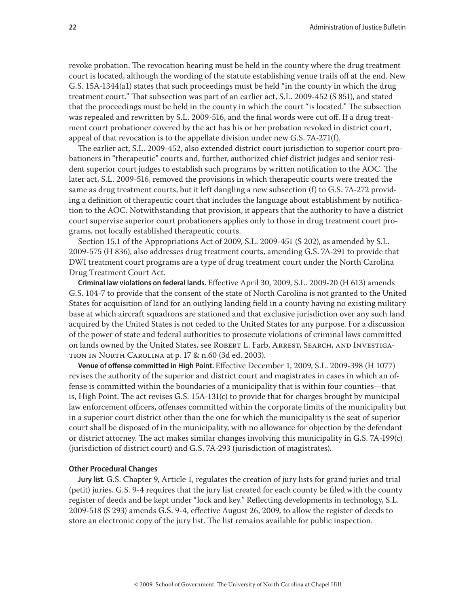revoke probation. The revocation hearing must be held in the county where the drug treatment court is located, although the wording of the statute establishing venue trails off at the end. New G.S. 15A-1344(a1) states that such proceedings must be held "in the county in which the drug treatment court." That subsection was part of an earlier act, S.L. 2009-452 (S 851), and stated that the proceedings must be held in the county in which the court "is located." The subsection was repealed and rewritten by S.L. 2009-516, and the final words were cut off. If a drug treatment court probationer covered by the act has his or her probation revoked in district court, appeal of that revocation is to the appellate division under new G.S. 7A-271(f).

The earlier act, S.L. 2009-452, also extended district court jurisdiction to superior court probationers in "therapeutic" courts and, further, authorized chief district judges and senior resident superior court judges to establish such programs by written notification to the AOC. The later act, S.L. 2009-516, removed the provisions in which therapeutic courts were treated the same as drug treatment courts, but it left dangling a new subsection (f) to G.S. 7A-272 providing a definition of therapeutic court that includes the language about establishment by notification to the AOC. Notwithstanding that provision, it appears that the authority to have a district court supervise superior court probationers applies only to those in drug treatment court programs, not locally established therapeutic courts.

Section 15.1 of the Appropriations Act of 2009, S.L. 2009-451 (S 202), as amended by S.L. 2009-575 (H 836), also addresses drug treatment courts, amending G.S. 7A-291 to provide that DWI treatment court programs are a type of drug treatment court under the North Carolina Drug Treatment Court Act.

**Criminal law violations on federal lands.** Effective April 30, 2009, S.L. 2009-20 (H 613) amends G.S. 104-7 to provide that the consent of the state of North Carolina is not granted to the United States for acquisition of land for an outlying landing field in a county having no existing military base at which aircraft squadrons are stationed and that exclusive jurisdiction over any such land acquired by the United States is not ceded to the United States for any purpose. For a discussion of the power of state and federal authorities to prosecute violations of criminal laws committed on lands owned by the United States, see ROBERT L. Farb, ARREST, SEARCH, AND INVESTIGAtion in North Carolina at p. 17 & n.60 (3d ed. 2003).

**Venue of offense committed in High Point.** Effective December 1, 2009, S.L. 2009-398 (H 1077) revises the authority of the superior and district court and magistrates in cases in which an offense is committed within the boundaries of a municipality that is within four counties—that is, High Point. The act revises G.S. 15A-131(c) to provide that for charges brought by municipal law enforcement officers, offenses committed within the corporate limits of the municipality but in a superior court district other than the one for which the municipality is the seat of superior court shall be disposed of in the municipality, with no allowance for objection by the defendant or district attorney. The act makes similar changes involving this municipality in G.S. 7A-199(c) (jurisdiction of district court) and G.S. 7A-293 (jurisdiction of magistrates).

#### **Other Procedural Changes**

**Jury list.** G.S. Chapter 9, Article 1, regulates the creation of jury lists for grand juries and trial (petit) juries. G.S. 9-4 requires that the jury list created for each county be filed with the county register of deeds and be kept under "lock and key." Reflecting developments in technology, S.L. 2009-518 (S 293) amends G.S. 9-4, effective August 26, 2009, to allow the register of deeds to store an electronic copy of the jury list. The list remains available for public inspection.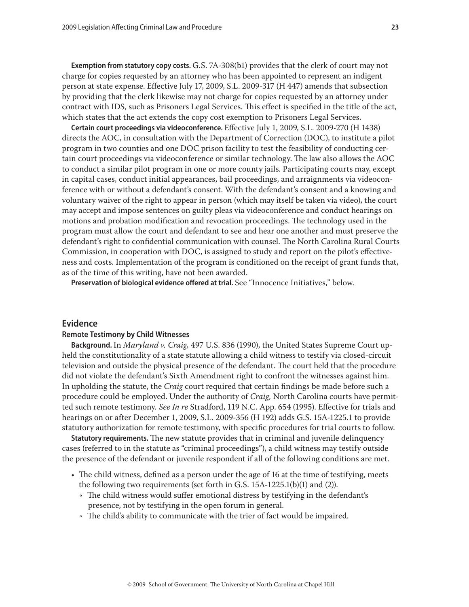**Exemption from statutory copy costs.** G.S. 7A-308(b1) provides that the clerk of court may not charge for copies requested by an attorney who has been appointed to represent an indigent person at state expense. Effective July 17, 2009, S.L. 2009-317 (H 447) amends that subsection by providing that the clerk likewise may not charge for copies requested by an attorney under contract with IDS, such as Prisoners Legal Services. This effect is specified in the title of the act, which states that the act extends the copy cost exemption to Prisoners Legal Services.

**Certain court proceedings via videoconference.** Effective July 1, 2009, S.L. 2009-270 (H 1438) directs the AOC, in consultation with the Department of Correction (DOC), to institute a pilot program in two counties and one DOC prison facility to test the feasibility of conducting certain court proceedings via videoconference or similar technology. The law also allows the AOC to conduct a similar pilot program in one or more county jails. Participating courts may, except in capital cases, conduct initial appearances, bail proceedings, and arraignments via videoconference with or without a defendant's consent. With the defendant's consent and a knowing and voluntary waiver of the right to appear in person (which may itself be taken via video), the court may accept and impose sentences on guilty pleas via videoconference and conduct hearings on motions and probation modification and revocation proceedings. The technology used in the program must allow the court and defendant to see and hear one another and must preserve the defendant's right to confidential communication with counsel. The North Carolina Rural Courts Commission, in cooperation with DOC, is assigned to study and report on the pilot's effectiveness and costs. Implementation of the program is conditioned on the receipt of grant funds that, as of the time of this writing, have not been awarded.

**Preservation of biological evidence offered at trial.** See "Innocence Initiatives," below.

# **Evidence**

#### **Remote Testimony by Child Witnesses**

**Background.** In *Maryland v. Craig,* 497 U.S. 836 (1990), the United States Supreme Court upheld the constitutionality of a state statute allowing a child witness to testify via closed-circuit television and outside the physical presence of the defendant. The court held that the procedure did not violate the defendant's Sixth Amendment right to confront the witnesses against him. In upholding the statute, the *Craig* court required that certain findings be made before such a procedure could be employed. Under the authority of *Craig,* North Carolina courts have permitted such remote testimony*. See In re* Stradford, 119 N.C. App. 654 (1995). Effective for trials and hearings on or after December 1, 2009, S.L. 2009-356 (H 192) adds G.S. 15A-1225.1 to provide statutory authorization for remote testimony, with specific procedures for trial courts to follow.

**Statutory requirements.** The new statute provides that in criminal and juvenile delinquency cases (referred to in the statute as "criminal proceedings"), a child witness may testify outside the presence of the defendant or juvenile respondent if all of the following conditions are met.

- The child witness, defined as a person under the age of 16 at the time of testifying, meets the following two requirements (set forth in G.S. 15A-1225.1(b)(1) and (2)).
	- $\cdot$  The child witness would suffer emotional distress by testifying in the defendant's presence, not by testifying in the open forum in general.
	- The child's ability to communicate with the trier of fact would be impaired.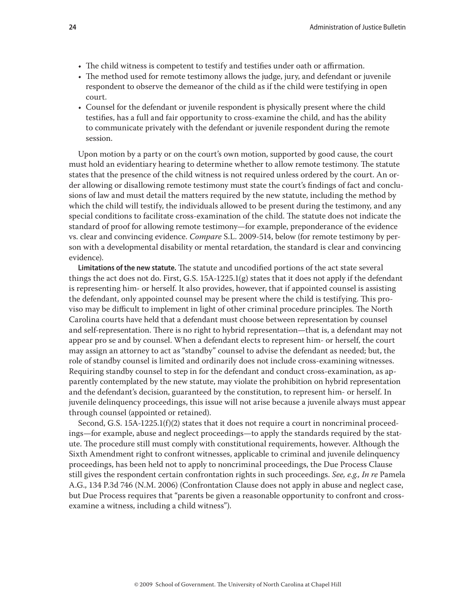- The child witness is competent to testify and testifies under oath or affirmation.
- The method used for remote testimony allows the judge, jury, and defendant or juvenile respondent to observe the demeanor of the child as if the child were testifying in open court.
- Counsel for the defendant or juvenile respondent is physically present where the child testifies, has a full and fair opportunity to cross-examine the child, and has the ability to communicate privately with the defendant or juvenile respondent during the remote session.

Upon motion by a party or on the court's own motion, supported by good cause, the court must hold an evidentiary hearing to determine whether to allow remote testimony. The statute states that the presence of the child witness is not required unless ordered by the court. An order allowing or disallowing remote testimony must state the court's findings of fact and conclusions of law and must detail the matters required by the new statute, including the method by which the child will testify, the individuals allowed to be present during the testimony, and any special conditions to facilitate cross-examination of the child. The statute does not indicate the standard of proof for allowing remote testimony—for example, preponderance of the evidence vs. clear and convincing evidence. *Compare* S.L. 2009-514, below (for remote testimony by person with a developmental disability or mental retardation, the standard is clear and convincing evidence).

**Limitations of the new statute.** The statute and uncodified portions of the act state several things the act does not do. First, G.S. 15A-1225.1(g) states that it does not apply if the defendant is representing him- or herself. It also provides, however, that if appointed counsel is assisting the defendant, only appointed counsel may be present where the child is testifying. This proviso may be difficult to implement in light of other criminal procedure principles. The North Carolina courts have held that a defendant must choose between representation by counsel and self-representation. There is no right to hybrid representation—that is, a defendant may not appear pro se and by counsel. When a defendant elects to represent him- or herself, the court may assign an attorney to act as "standby" counsel to advise the defendant as needed; but, the role of standby counsel is limited and ordinarily does not include cross-examining witnesses. Requiring standby counsel to step in for the defendant and conduct cross-examination, as apparently contemplated by the new statute, may violate the prohibition on hybrid representation and the defendant's decision, guaranteed by the constitution, to represent him- or herself. In juvenile delinquency proceedings, this issue will not arise because a juvenile always must appear through counsel (appointed or retained).

Second, G.S.  $15A-1225.1(f)(2)$  states that it does not require a court in noncriminal proceedings—for example, abuse and neglect proceedings—to apply the standards required by the statute. The procedure still must comply with constitutional requirements, however. Although the Sixth Amendment right to confront witnesses, applicable to criminal and juvenile delinquency proceedings, has been held not to apply to noncriminal proceedings, the Due Process Clause still gives the respondent certain confrontation rights in such proceedings. *See, e.g., In re* Pamela A.G., 134 P.3d 746 (N.M. 2006) (Confrontation Clause does not apply in abuse and neglect case, but Due Process requires that "parents be given a reasonable opportunity to confront and crossexamine a witness, including a child witness").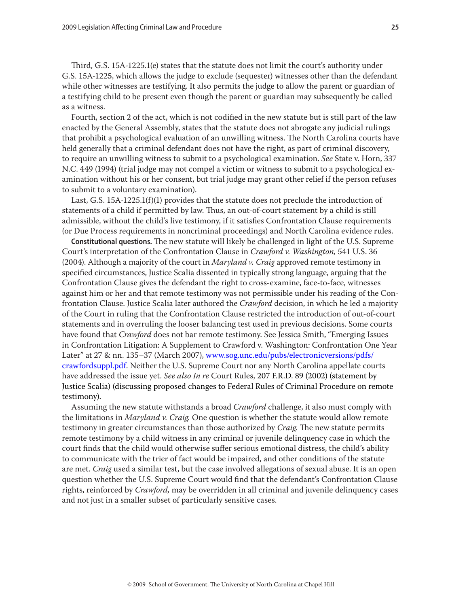Third, G.S. 15A-1225.1(e) states that the statute does not limit the court's authority under G.S. 15A-1225, which allows the judge to exclude (sequester) witnesses other than the defendant while other witnesses are testifying. It also permits the judge to allow the parent or guardian of a testifying child to be present even though the parent or guardian may subsequently be called as a witness.

Fourth, section 2 of the act, which is not codified in the new statute but is still part of the law enacted by the General Assembly, states that the statute does not abrogate any judicial rulings that prohibit a psychological evaluation of an unwilling witness. The North Carolina courts have held generally that a criminal defendant does not have the right, as part of criminal discovery, to require an unwilling witness to submit to a psychological examination. *See* State v. Horn, 337 N.C. 449 (1994) (trial judge may not compel a victim or witness to submit to a psychological examination without his or her consent, but trial judge may grant other relief if the person refuses to submit to a voluntary examination).

Last, G.S. 15A-1225.1(f)(1) provides that the statute does not preclude the introduction of statements of a child if permitted by law. Thus, an out-of-court statement by a child is still admissible, without the child's live testimony, if it satisfies Confrontation Clause requirements (or Due Process requirements in noncriminal proceedings) and North Carolina evidence rules.

**Constitutional questions.** The new statute will likely be challenged in light of the U.S. Supreme Court's interpretation of the Confrontation Clause in *Crawford v. Washington,* 541 U.S. 36 (2004). Although a majority of the court in *Maryland v. Craig* approved remote testimony in specified circumstances, Justice Scalia dissented in typically strong language, arguing that the Confrontation Clause gives the defendant the right to cross-examine, face-to-face, witnesses against him or her and that remote testimony was not permissible under his reading of the Confrontation Clause. Justice Scalia later authored the *Crawford* decision, in which he led a majority of the Court in ruling that the Confrontation Clause restricted the introduction of out-of-court statements and in overruling the looser balancing test used in previous decisions. Some courts have found that *Crawford* does not bar remote testimony. See Jessica Smith, "Emerging Issues in Confrontation Litigation: A Supplement to Crawford v. Washington: Confrontation One Year Later" at 27 & nn. 135–37 (March 2007), [www.sog.unc.edu/pubs/electronicversions/pdfs/](http://www.sog.unc.edu/pubs/electronicversions/pdfs/crawfordsuppl.pdf) [crawfordsuppl.pdf.](http://www.sog.unc.edu/pubs/electronicversions/pdfs/crawfordsuppl.pdf) Neither the U.S. Supreme Court nor any North Carolina appellate courts have addressed the issue yet. *See also In re* Court Rules, 207 F.R.D. 89 (2002) (statement by Justice Scalia) (discussing proposed changes to Federal Rules of Criminal Procedure on remote testimony).

Assuming the new statute withstands a broad *Crawford* challenge, it also must comply with the limitations in *Maryland v. Craig.* One question is whether the statute would allow remote testimony in greater circumstances than those authorized by *Craig.* The new statute permits remote testimony by a child witness in any criminal or juvenile delinquency case in which the court finds that the child would otherwise suffer serious emotional distress, the child's ability to communicate with the trier of fact would be impaired, and other conditions of the statute are met. *Craig* used a similar test, but the case involved allegations of sexual abuse. It is an open question whether the U.S. Supreme Court would find that the defendant's Confrontation Clause rights, reinforced by *Crawford,* may be overridden in all criminal and juvenile delinquency cases and not just in a smaller subset of particularly sensitive cases.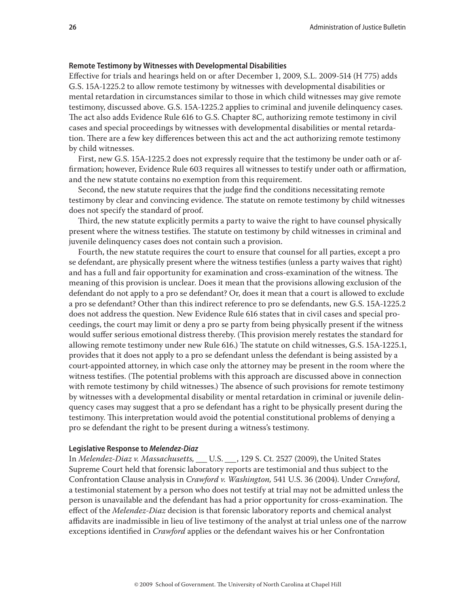#### **Remote Testimony by Witnesses with Developmental Disabilities**

Effective for trials and hearings held on or after December 1, 2009, S.L. 2009-514 (H 775) adds G.S. 15A-1225.2 to allow remote testimony by witnesses with developmental disabilities or mental retardation in circumstances similar to those in which child witnesses may give remote testimony, discussed above. G.S. 15A-1225.2 applies to criminal and juvenile delinquency cases. The act also adds Evidence Rule 616 to G.S. Chapter 8C, authorizing remote testimony in civil cases and special proceedings by witnesses with developmental disabilities or mental retardation. There are a few key differences between this act and the act authorizing remote testimony by child witnesses.

First, new G.S. 15A-1225.2 does not expressly require that the testimony be under oath or affirmation; however, Evidence Rule 603 requires all witnesses to testify under oath or affirmation, and the new statute contains no exemption from this requirement.

Second, the new statute requires that the judge find the conditions necessitating remote testimony by clear and convincing evidence. The statute on remote testimony by child witnesses does not specify the standard of proof.

Third, the new statute explicitly permits a party to waive the right to have counsel physically present where the witness testifies. The statute on testimony by child witnesses in criminal and juvenile delinquency cases does not contain such a provision.

Fourth, the new statute requires the court to ensure that counsel for all parties, except a pro se defendant, are physically present where the witness testifies (unless a party waives that right) and has a full and fair opportunity for examination and cross-examination of the witness. The meaning of this provision is unclear. Does it mean that the provisions allowing exclusion of the defendant do not apply to a pro se defendant? Or, does it mean that a court is allowed to exclude a pro se defendant? Other than this indirect reference to pro se defendants, new G.S. 15A-1225.2 does not address the question. New Evidence Rule 616 states that in civil cases and special proceedings, the court may limit or deny a pro se party from being physically present if the witness would suffer serious emotional distress thereby. (This provision merely restates the standard for allowing remote testimony under new Rule 616.) The statute on child witnesses, G.S. 15A-1225.1, provides that it does not apply to a pro se defendant unless the defendant is being assisted by a court-appointed attorney, in which case only the attorney may be present in the room where the witness testifies. (The potential problems with this approach are discussed above in connection with remote testimony by child witnesses.) The absence of such provisions for remote testimony by witnesses with a developmental disability or mental retardation in criminal or juvenile delinquency cases may suggest that a pro se defendant has a right to be physically present during the testimony. This interpretation would avoid the potential constitutional problems of denying a pro se defendant the right to be present during a witness's testimony.

# **Legislative Response to** *Melendez-Diaz*

In *Melendez-Diaz v. Massachusetts, \_\_\_* U.S. *\_\_\_*, 129 S. Ct. 2527 (2009), the United States Supreme Court held that forensic laboratory reports are testimonial and thus subject to the Confrontation Clause analysis in *Crawford v. Washington,* 541 U.S. 36 (2004). Under *Crawford*, a testimonial statement by a person who does not testify at trial may not be admitted unless the person is unavailable and the defendant has had a prior opportunity for cross-examination. The effect of the *Melendez-Diaz* decision is that forensic laboratory reports and chemical analyst affidavits are inadmissible in lieu of live testimony of the analyst at trial unless one of the narrow exceptions identified in *Crawford* applies or the defendant waives his or her Confrontation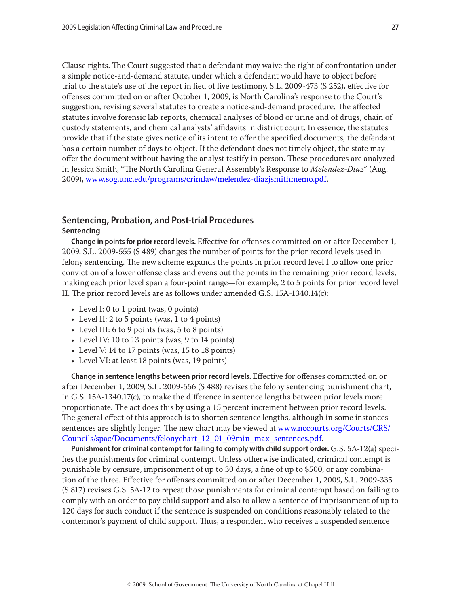Clause rights. The Court suggested that a defendant may waive the right of confrontation under a simple notice-and-demand statute, under which a defendant would have to object before trial to the state's use of the report in lieu of live testimony. S.L. 2009-473 (S 252), effective for offenses committed on or after October 1, 2009, is North Carolina's response to the Court's suggestion, revising several statutes to create a notice-and-demand procedure. The affected statutes involve forensic lab reports, chemical analyses of blood or urine and of drugs, chain of custody statements, and chemical analysts' affidavits in district court. In essence, the statutes provide that if the state gives notice of its intent to offer the specified documents, the defendant has a certain number of days to object. If the defendant does not timely object, the state may offer the document without having the analyst testify in person. These procedures are analyzed in Jessica Smith, "The North Carolina General Assembly's Response to *Melendez-Diaz*" (Aug. 2009), [www.sog.unc.edu/programs/crimlaw/melendez-diazjsmithmemo.pdf.](http://www.sog.unc.edu/programs/crimlaw/melendez-diazjsmithmemo.pdf)

# **Sentencing, Probation, and Post-trial Procedures Sentencing**

**Change in points for prior record levels.** Effective for offenses committed on or after December 1, 2009, S.L. 2009-555 (S 489) changes the number of points for the prior record levels used in felony sentencing. The new scheme expands the points in prior record level I to allow one prior conviction of a lower offense class and evens out the points in the remaining prior record levels, making each prior level span a four-point range—for example, 2 to 5 points for prior record level II. The prior record levels are as follows under amended G.S. 15A-1340.14(c):

- Level I: 0 to 1 point (was, 0 points)
- Level II: 2 to 5 points (was, 1 to 4 points)
- Level III: 6 to 9 points (was, 5 to 8 points)
- Level IV: 10 to 13 points (was, 9 to 14 points)
- Level V: 14 to 17 points (was, 15 to 18 points)
- Level VI: at least 18 points (was, 19 points)

**Change in sentence lengths between prior record levels.** Effective for offenses committed on or after December 1, 2009, S.L. 2009-556 (S 488) revises the felony sentencing punishment chart, in G.S. 15A-1340.17(c), to make the difference in sentence lengths between prior levels more proportionate. The act does this by using a 15 percent increment between prior record levels. The general effect of this approach is to shorten sentence lengths, although in some instances sentences are slightly longer. The new chart may be viewed at [www.nccourts.org/Courts/CRS/](www.nccourts.org/Courts/CRS/Councils/spac/Documents/felonychart_12_01_09min_max_sentences.pdf) [Councils/spac/Documents/felonychart\\_12\\_01\\_09min\\_max\\_sentences.pdf](www.nccourts.org/Courts/CRS/Councils/spac/Documents/felonychart_12_01_09min_max_sentences.pdf).

**Punishment for criminal contempt for failing to comply with child support order.** G.S. 5A-12(a) specifies the punishments for criminal contempt. Unless otherwise indicated, criminal contempt is punishable by censure, imprisonment of up to 30 days, a fine of up to \$500, or any combination of the three. Effective for offenses committed on or after December 1, 2009, S.L. 2009-335 (S 817) revises G.S. 5A-12 to repeat those punishments for criminal contempt based on failing to comply with an order to pay child support and also to allow a sentence of imprisonment of up to 120 days for such conduct if the sentence is suspended on conditions reasonably related to the contemnor's payment of child support. Thus, a respondent who receives a suspended sentence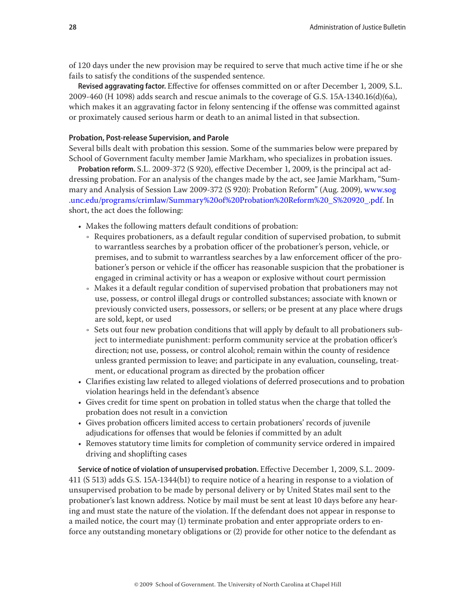of 120 days under the new provision may be required to serve that much active time if he or she fails to satisfy the conditions of the suspended sentence.

**Revised aggravating factor.** Effective for offenses committed on or after December 1, 2009, S.L. 2009-460 (H 1098) adds search and rescue animals to the coverage of G.S. 15A-1340.16(d)(6a), which makes it an aggravating factor in felony sentencing if the offense was committed against or proximately caused serious harm or death to an animal listed in that subsection.

# **Probation, Post-release Supervision, and Parole**

Several bills dealt with probation this session. Some of the summaries below were prepared by School of Government faculty member Jamie Markham, who specializes in probation issues.

**Probation reform.** S.L. 2009-372 (S 920), effective December 1, 2009, is the principal act addressing probation. For an analysis of the changes made by the act, see Jamie Markham, "Summary and Analysis of Session Law 2009-372 (S 920): Probation Reform" (Aug. 2009), [www.sog](http://www.sog.unc.edu/programs/crimlaw/Summary%20of%20Probation%20Reform%20_S%20920_.pdf) [.unc.edu/programs/crimlaw/Summary%20of%20Probation%20Reform%20\\_S%20920\\_.pdf](http://www.sog.unc.edu/programs/crimlaw/Summary%20of%20Probation%20Reform%20_S%20920_.pdf). In short, the act does the following:

- Makes the following matters default conditions of probation:
	- Requires probationers, as a default regular condition of supervised probation, to submit to warrantless searches by a probation officer of the probationer's person, vehicle, or premises, and to submit to warrantless searches by a law enforcement officer of the probationer's person or vehicle if the officer has reasonable suspicion that the probationer is engaged in criminal activity or has a weapon or explosive without court permission
	- Makes it a default regular condition of supervised probation that probationers may not use, possess, or control illegal drugs or controlled substances; associate with known or previously convicted users, possessors, or sellers; or be present at any place where drugs are sold, kept, or used
	- Ǟ Sets out four new probation conditions that will apply by default to all probationers subject to intermediate punishment: perform community service at the probation officer's direction; not use, possess, or control alcohol; remain within the county of residence unless granted permission to leave; and participate in any evaluation, counseling, treatment, or educational program as directed by the probation officer
- • Clarifies existing law related to alleged violations of deferred prosecutions and to probation violation hearings held in the defendant's absence
- • Gives credit for time spent on probation in tolled status when the charge that tolled the probation does not result in a conviction
- • Gives probation officers limited access to certain probationers' records of juvenile adjudications for offenses that would be felonies if committed by an adult
- • Removes statutory time limits for completion of community service ordered in impaired driving and shoplifting cases

**Service of notice of violation of unsupervised probation.** Effective December 1, 2009, S.L. 2009- 411 (S 513) adds G.S. 15A-1344(b1) to require notice of a hearing in response to a violation of unsupervised probation to be made by personal delivery or by United States mail sent to the probationer's last known address. Notice by mail must be sent at least 10 days before any hearing and must state the nature of the violation. If the defendant does not appear in response to a mailed notice, the court may (1) terminate probation and enter appropriate orders to enforce any outstanding monetary obligations or (2) provide for other notice to the defendant as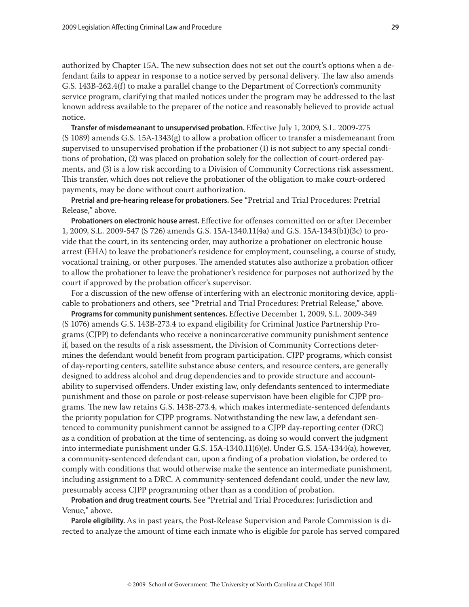authorized by Chapter 15A. The new subsection does not set out the court's options when a defendant fails to appear in response to a notice served by personal delivery. The law also amends G.S. 143B-262.4(f) to make a parallel change to the Department of Correction's community service program, clarifying that mailed notices under the program may be addressed to the last known address available to the preparer of the notice and reasonably believed to provide actual notice.

**Transfer of misdemeanant to unsupervised probation.** Effective July 1, 2009, S.L. 2009-275 (S 1089) amends G.S. 15A-1343(g) to allow a probation officer to transfer a misdemeanant from supervised to unsupervised probation if the probationer (1) is not subject to any special conditions of probation, (2) was placed on probation solely for the collection of court-ordered payments, and (3) is a low risk according to a Division of Community Corrections risk assessment. This transfer, which does not relieve the probationer of the obligation to make court-ordered payments, may be done without court authorization.

**Pretrial and pre-hearing release for probationers.** See "Pretrial and Trial Procedures: Pretrial Release," above.

**Probationers on electronic house arrest.** Effective for offenses committed on or after December 1, 2009, S.L. 2009-547 (S 726) amends G.S. 15A-1340.11(4a) and G.S. 15A-1343(b1)(3c) to provide that the court, in its sentencing order, may authorize a probationer on electronic house arrest (EHA) to leave the probationer's residence for employment, counseling, a course of study, vocational training, or other purposes. The amended statutes also authorize a probation officer to allow the probationer to leave the probationer's residence for purposes not authorized by the court if approved by the probation officer's supervisor.

For a discussion of the new offense of interfering with an electronic monitoring device, applicable to probationers and others, see "Pretrial and Trial Procedures: Pretrial Release," above.

**Programs for community punishment sentences.** Effective December 1, 2009, S.L. 2009-349 (S 1076) amends G.S. 143B-273.4 to expand eligibility for Criminal Justice Partnership Programs (CJPP) to defendants who receive a nonincarcerative community punishment sentence if, based on the results of a risk assessment, the Division of Community Corrections determines the defendant would benefit from program participation. CJPP programs, which consist of day-reporting centers, satellite substance abuse centers, and resource centers, are generally designed to address alcohol and drug dependencies and to provide structure and accountability to supervised offenders. Under existing law, only defendants sentenced to intermediate punishment and those on parole or post-release supervision have been eligible for CJPP programs. The new law retains G.S. 143B-273.4, which makes intermediate-sentenced defendants the priority population for CJPP programs. Notwithstanding the new law, a defendant sentenced to community punishment cannot be assigned to a CJPP day-reporting center (DRC) as a condition of probation at the time of sentencing, as doing so would convert the judgment into intermediate punishment under G.S. 15A-1340.11(6)(e). Under G.S. 15A-1344(a), however, a community-sentenced defendant can, upon a finding of a probation violation, be ordered to comply with conditions that would otherwise make the sentence an intermediate punishment, including assignment to a DRC. A community-sentenced defendant could, under the new law, presumably access CJPP programming other than as a condition of probation.

**Probation and drug treatment courts.** See "Pretrial and Trial Procedures: Jurisdiction and Venue," above.

**Parole eligibility.** As in past years, the Post-Release Supervision and Parole Commission is directed to analyze the amount of time each inmate who is eligible for parole has served compared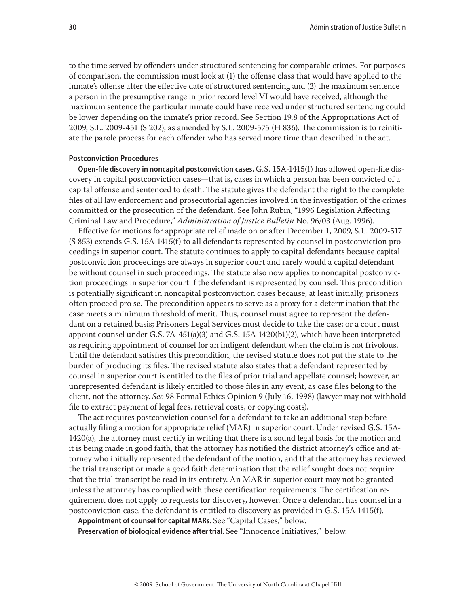to the time served by offenders under structured sentencing for comparable crimes. For purposes of comparison, the commission must look at (1) the offense class that would have applied to the inmate's offense after the effective date of structured sentencing and (2) the maximum sentence a person in the presumptive range in prior record level VI would have received, although the maximum sentence the particular inmate could have received under structured sentencing could be lower depending on the inmate's prior record. See Section 19.8 of the Appropriations Act of 2009, S.L. 2009-451 (S 202), as amended by S.L. 2009-575 (H 836). The commission is to reinitiate the parole process for each offender who has served more time than described in the act.

# **Postconviction Procedures**

**Open-file discovery in noncapital postconviction cases.** G.S. 15A-1415(f) has allowed open-file discovery in capital postconviction cases—that is, cases in which a person has been convicted of a capital offense and sentenced to death. The statute gives the defendant the right to the complete files of all law enforcement and prosecutorial agencies involved in the investigation of the crimes committed or the prosecution of the defendant. See John Rubin, "1996 Legislation Affecting Criminal Law and Procedure," *Administration of Justice Bulletin* No. 96/03 (Aug. 1996).

Effective for motions for appropriate relief made on or after December 1, 2009, S.L. 2009-517 (S 853) extends G.S. 15A-1415(f) to all defendants represented by counsel in postconviction proceedings in superior court. The statute continues to apply to capital defendants because capital postconviction proceedings are always in superior court and rarely would a capital defendant be without counsel in such proceedings. The statute also now applies to noncapital postconviction proceedings in superior court if the defendant is represented by counsel. This precondition is potentially significant in noncapital postconviction cases because, at least initially, prisoners often proceed pro se. The precondition appears to serve as a proxy for a determination that the case meets a minimum threshold of merit. Thus, counsel must agree to represent the defendant on a retained basis; Prisoners Legal Services must decide to take the case; or a court must appoint counsel under G.S. 7A-451(a)(3) and G.S. 15A-1420(b1)(2), which have been interpreted as requiring appointment of counsel for an indigent defendant when the claim is not frivolous. Until the defendant satisfies this precondition, the revised statute does not put the state to the burden of producing its files. The revised statute also states that a defendant represented by counsel in superior court is entitled to the files of prior trial and appellate counsel; however, an unrepresented defendant is likely entitled to those files in any event, as case files belong to the client, not the attorney. *See* 98 Formal Ethics Opinion 9 (July 16, 1998) (lawyer may not withhold file to extract payment of legal fees, retrieval costs, or copying costs)**.**

The act requires postconviction counsel for a defendant to take an additional step before actually filing a motion for appropriate relief (MAR) in superior court. Under revised G.S. 15A-1420(a), the attorney must certify in writing that there is a sound legal basis for the motion and it is being made in good faith, that the attorney has notified the district attorney's office and attorney who initially represented the defendant of the motion, and that the attorney has reviewed the trial transcript or made a good faith determination that the relief sought does not require that the trial transcript be read in its entirety. An MAR in superior court may not be granted unless the attorney has complied with these certification requirements. The certification requirement does not apply to requests for discovery, however. Once a defendant has counsel in a postconviction case, the defendant is entitled to discovery as provided in G.S. 15A-1415(f).

**Appointment of counsel for capital MARs.** See "Capital Cases," below.

**Preservation of biological evidence after trial.** See "Innocence Initiatives," below.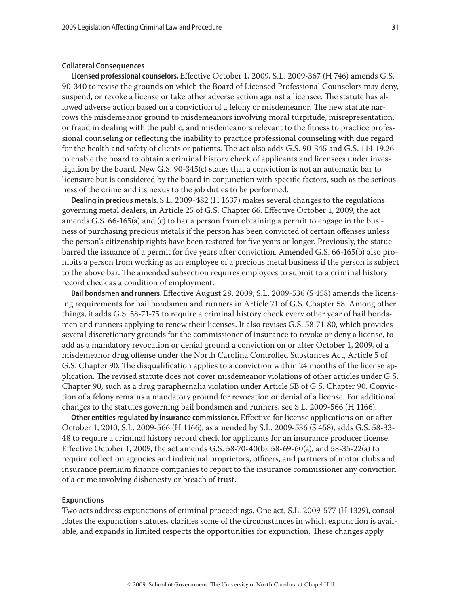#### **Collateral Consequences**

**Licensed professional counselors.** Effective October 1, 2009, S.L. 2009-367 (H 746) amends G.S. 90-340 to revise the grounds on which the Board of Licensed Professional Counselors may deny, suspend, or revoke a license or take other adverse action against a licensee. The statute has allowed adverse action based on a conviction of a felony or misdemeanor. The new statute narrows the misdemeanor ground to misdemeanors involving moral turpitude, misrepresentation, or fraud in dealing with the public, and misdemeanors relevant to the fitness to practice professional counseling or reflecting the inability to practice professional counseling with due regard for the health and safety of clients or patients. The act also adds G.S. 90-345 and G.S. 114-19.26 to enable the board to obtain a criminal history check of applicants and licensees under investigation by the board. New G.S. 90-345(c) states that a conviction is not an automatic bar to licensure but is considered by the board in conjunction with specific factors, such as the seriousness of the crime and its nexus to the job duties to be performed.

**Dealing in precious metals.** S.L. 2009-482 (H 1637) makes several changes to the regulations governing metal dealers, in Article 25 of G.S. Chapter 66. Effective October 1, 2009, the act amends G.S. 66-165(a) and (c) to bar a person from obtaining a permit to engage in the business of purchasing precious metals if the person has been convicted of certain offenses unless the person's citizenship rights have been restored for five years or longer. Previously, the statue barred the issuance of a permit for five years after conviction. Amended G.S. 66-165(b) also prohibits a person from working as an employee of a precious metal business if the person is subject to the above bar. The amended subsection requires employees to submit to a criminal history record check as a condition of employment.

**Bail bondsmen and runners.** Effective August 28, 2009, S.L. 2009-536 (S 458) amends the licensing requirements for bail bondsmen and runners in Article 71 of G.S. Chapter 58. Among other things, it adds G.S. 58-71-75 to require a criminal history check every other year of bail bondsmen and runners applying to renew their licenses. It also revises G.S. 58-71-80, which provides several discretionary grounds for the commissioner of insurance to revoke or deny a license, to add as a mandatory revocation or denial ground a conviction on or after October 1, 2009, of a misdemeanor drug offense under the North Carolina Controlled Substances Act, Article 5 of G.S. Chapter 90. The disqualification applies to a conviction within 24 months of the license application. The revised statute does not cover misdemeanor violations of other articles under G.S. Chapter 90, such as a drug paraphernalia violation under Article 5B of G.S. Chapter 90. Conviction of a felony remains a mandatory ground for revocation or denial of a license. For additional changes to the statutes governing bail bondsmen and runners, see S.L. 2009-566 (H 1166).

**Other entities regulated by insurance commissioner.** Effective for license applications on or after October 1, 2010, S.L. 2009-566 (H 1166), as amended by S.L. 2009-536 (S 458), adds G.S. 58-33- 48 to require a criminal history record check for applicants for an insurance producer license. Effective October 1, 2009, the act amends G.S. 58-70-40(b), 58-69-60(a), and 58-35-22(a) to require collection agencies and individual proprietors, officers, and partners of motor clubs and insurance premium finance companies to report to the insurance commissioner any conviction of a crime involving dishonesty or breach of trust.

#### **Expunctions**

Two acts address expunctions of criminal proceedings. One act, S.L. 2009-577 (H 1329), consolidates the expunction statutes, clarifies some of the circumstances in which expunction is available, and expands in limited respects the opportunities for expunction. These changes apply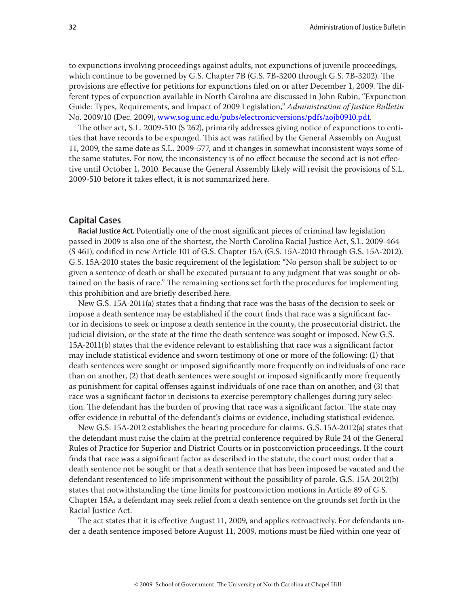to expunctions involving proceedings against adults, not expunctions of juvenile proceedings, which continue to be governed by G.S. Chapter 7B (G.S. 7B-3200 through G.S. 7B-3202). The provisions are effective for petitions for expunctions filed on or after December 1, 2009. The different types of expunction available in North Carolina are discussed in John Rubin, "Expunction Guide: Types, Requirements, and Impact of 2009 Legislation," *Administration of Justice Bulletin* No. 2009/10 (Dec. 2009), <www.sog.unc.edu/pubs/electronicversions/pdfs/aojb0910.pdf>.

The other act, S.L. 2009-510 (S 262), primarily addresses giving notice of expunctions to entities that have records to be expunged. This act was ratified by the General Assembly on August 11, 2009, the same date as S.L. 2009-577, and it changes in somewhat inconsistent ways some of the same statutes. For now, the inconsistency is of no effect because the second act is not effective until October 1, 2010. Because the General Assembly likely will revisit the provisions of S.L. 2009-510 before it takes effect, it is not summarized here.

# **Capital Cases**

**Racial Justice Act.** Potentially one of the most significant pieces of criminal law legislation passed in 2009 is also one of the shortest, the North Carolina Racial Justice Act, S.L. 2009-464 (S 461), codified in new Article 101 of G.S. Chapter 15A (G.S. 15A-2010 through G.S. 15A-2012). G.S. 15A-2010 states the basic requirement of the legislation: "No person shall be subject to or given a sentence of death or shall be executed pursuant to any judgment that was sought or obtained on the basis of race." The remaining sections set forth the procedures for implementing this prohibition and are briefly described here.

New G.S. 15A-2011(a) states that a finding that race was the basis of the decision to seek or impose a death sentence may be established if the court finds that race was a significant factor in decisions to seek or impose a death sentence in the county, the prosecutorial district, the judicial division, or the state at the time the death sentence was sought or imposed. New G.S. 15A-2011(b) states that the evidence relevant to establishing that race was a significant factor may include statistical evidence and sworn testimony of one or more of the following: (1) that death sentences were sought or imposed significantly more frequently on individuals of one race than on another, (2) that death sentences were sought or imposed significantly more frequently as punishment for capital offenses against individuals of one race than on another, and (3) that race was a significant factor in decisions to exercise peremptory challenges during jury selection. The defendant has the burden of proving that race was a significant factor. The state may offer evidence in rebuttal of the defendant's claims or evidence, including statistical evidence.

New G.S. 15A-2012 establishes the hearing procedure for claims. G.S. 15A-2012(a) states that the defendant must raise the claim at the pretrial conference required by Rule 24 of the General Rules of Practice for Superior and District Courts or in postconviction proceedings. If the court finds that race was a significant factor as described in the statute, the court must order that a death sentence not be sought or that a death sentence that has been imposed be vacated and the defendant resentenced to life imprisonment without the possibility of parole. G.S. 15A-2012(b) states that notwithstanding the time limits for postconviction motions in Article 89 of G.S. Chapter 15A, a defendant may seek relief from a death sentence on the grounds set forth in the Racial Justice Act.

The act states that it is effective August 11, 2009, and applies retroactively. For defendants under a death sentence imposed before August 11, 2009, motions must be filed within one year of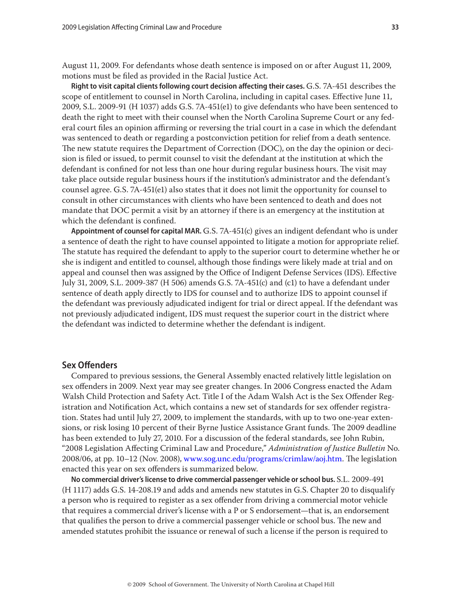August 11, 2009. For defendants whose death sentence is imposed on or after August 11, 2009, motions must be filed as provided in the Racial Justice Act.

**Right to visit capital clients following court decision affecting their cases.** G.S. 7A-451 describes the scope of entitlement to counsel in North Carolina, including in capital cases. Effective June 11, 2009, S.L. 2009-91 (H 1037) adds G.S. 7A-451(e1) to give defendants who have been sentenced to death the right to meet with their counsel when the North Carolina Supreme Court or any federal court files an opinion affirming or reversing the trial court in a case in which the defendant was sentenced to death or regarding a postconviction petition for relief from a death sentence. The new statute requires the Department of Correction (DOC), on the day the opinion or decision is filed or issued, to permit counsel to visit the defendant at the institution at which the defendant is confined for not less than one hour during regular business hours. The visit may take place outside regular business hours if the institution's administrator and the defendant's counsel agree. G.S. 7A-451(e1) also states that it does not limit the opportunity for counsel to consult in other circumstances with clients who have been sentenced to death and does not mandate that DOC permit a visit by an attorney if there is an emergency at the institution at which the defendant is confined.

**Appointment of counsel for capital MAR.** G.S. 7A-451(c) gives an indigent defendant who is under a sentence of death the right to have counsel appointed to litigate a motion for appropriate relief. The statute has required the defendant to apply to the superior court to determine whether he or she is indigent and entitled to counsel, although those findings were likely made at trial and on appeal and counsel then was assigned by the Office of Indigent Defense Services (IDS). Effective July 31, 2009, S.L. 2009-387 (H 506) amends G.S. 7A-451(c) and (c1) to have a defendant under sentence of death apply directly to IDS for counsel and to authorize IDS to appoint counsel if the defendant was previously adjudicated indigent for trial or direct appeal. If the defendant was not previously adjudicated indigent, IDS must request the superior court in the district where the defendant was indicted to determine whether the defendant is indigent.

# **Sex Offenders**

Compared to previous sessions, the General Assembly enacted relatively little legislation on sex offenders in 2009. Next year may see greater changes. In 2006 Congress enacted the Adam Walsh Child Protection and Safety Act. Title I of the Adam Walsh Act is the Sex Offender Registration and Notification Act, which contains a new set of standards for sex offender registration. States had until July 27, 2009, to implement the standards, with up to two one-year extensions, or risk losing 10 percent of their Byrne Justice Assistance Grant funds. The 2009 deadline has been extended to July 27, 2010. For a discussion of the federal standards, see John Rubin, "2008 Legislation Affecting Criminal Law and Procedure," *Administration of Justice Bulletin* No. 2008/06, at pp. 10–12 (Nov. 2008), [www.sog.unc.edu/programs/crimlaw/aoj.htm.](http://www.sog.unc.edu/programs/crimlaw/aoj.htm) The legislation enacted this year on sex offenders is summarized below.

**No commercial driver's license to drive commercial passenger vehicle or school bus.** S.L. 2009-491 (H 1117) adds G.S. 14-208.19 and adds and amends new statutes in G.S. Chapter 20 to disqualify a person who is required to register as a sex offender from driving a commercial motor vehicle that requires a commercial driver's license with a P or S endorsement—that is, an endorsement that qualifies the person to drive a commercial passenger vehicle or school bus. The new and amended statutes prohibit the issuance or renewal of such a license if the person is required to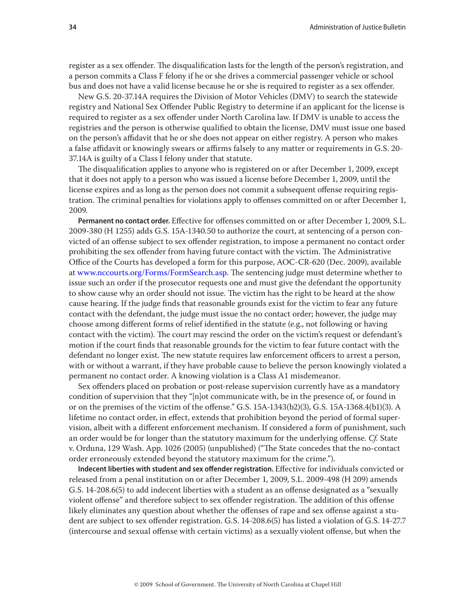register as a sex offender. The disqualification lasts for the length of the person's registration, and a person commits a Class F felony if he or she drives a commercial passenger vehicle or school bus and does not have a valid license because he or she is required to register as a sex offender.

New G.S. 20-37.14A requires the Division of Motor Vehicles (DMV) to search the statewide registry and National Sex Offender Public Registry to determine if an applicant for the license is required to register as a sex offender under North Carolina law. If DMV is unable to access the registries and the person is otherwise qualified to obtain the license, DMV must issue one based on the person's affidavit that he or she does not appear on either registry. A person who makes a false affidavit or knowingly swears or affirms falsely to any matter or requirements in G.S. 20- 37.14A is guilty of a Class I felony under that statute.

The disqualification applies to anyone who is registered on or after December 1, 2009, except that it does not apply to a person who was issued a license before December 1, 2009, until the license expires and as long as the person does not commit a subsequent offense requiring registration. The criminal penalties for violations apply to offenses committed on or after December 1, 2009.

**Permanent no contact order.** Effective for offenses committed on or after December 1, 2009, S.L. 2009-380 (H 1255) adds G.S. 15A-1340.50 to authorize the court, at sentencing of a person convicted of an offense subject to sex offender registration, to impose a permanent no contact order prohibiting the sex offender from having future contact with the victim. The Administrative Office of the Courts has developed a form for this purpose, AOC-CR-620 (Dec. 2009), available at [www.nccourts.org/Forms/FormSearch.asp](http://www.nccourts.org/Forms/FormSearch.asp). The sentencing judge must determine whether to issue such an order if the prosecutor requests one and must give the defendant the opportunity to show cause why an order should not issue. The victim has the right to be heard at the show cause hearing. If the judge finds that reasonable grounds exist for the victim to fear any future contact with the defendant, the judge must issue the no contact order; however, the judge may choose among different forms of relief identified in the statute (e.g., not following or having contact with the victim). The court may rescind the order on the victim's request or defendant's motion if the court finds that reasonable grounds for the victim to fear future contact with the defendant no longer exist. The new statute requires law enforcement officers to arrest a person, with or without a warrant, if they have probable cause to believe the person knowingly violated a permanent no contact order. A knowing violation is a Class A1 misdemeanor.

Sex offenders placed on probation or post-release supervision currently have as a mandatory condition of supervision that they "[n]ot communicate with, be in the presence of, or found in or on the premises of the victim of the offense." G.S. 15A-1343(b2)(3), G.S. 15A-1368.4(b1)(3). A lifetime no contact order, in effect, extends that prohibition beyond the period of formal supervision, albeit with a different enforcement mechanism. If considered a form of punishment, such an order would be for longer than the statutory maximum for the underlying offense. *Cf.* State v. Orduna, 129 Wash. App. 1026 (2005) (unpublished) ("The State concedes that the no-contact order erroneously extended beyond the statutory maximum for the crime.").

**Indecent liberties with student and sex offender registration.** Effective for individuals convicted or released from a penal institution on or after December 1, 2009, S.L. 2009-498 (H 209) amends G.S. 14-208.6(5) to add indecent liberties with a student as an offense designated as a "sexually violent offense" and therefore subject to sex offender registration. The addition of this offense likely eliminates any question about whether the offenses of rape and sex offense against a student are subject to sex offender registration. G.S. 14-208.6(5) has listed a violation of G.S. 14-27.7 (intercourse and sexual offense with certain victims) as a sexually violent offense, but when the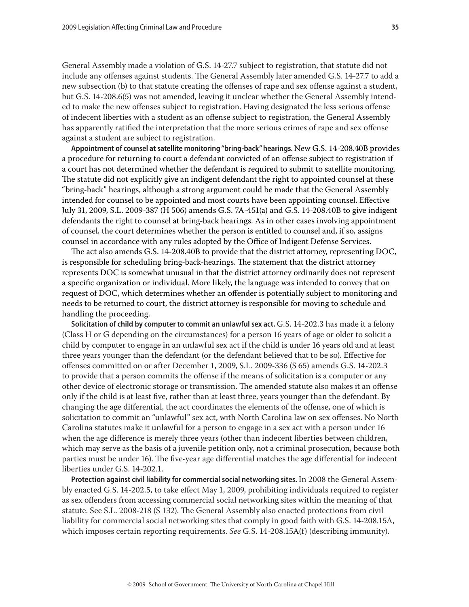General Assembly made a violation of G.S. 14-27.7 subject to registration, that statute did not include any offenses against students. The General Assembly later amended G.S. 14-27.7 to add a new subsection (b) to that statute creating the offenses of rape and sex offense against a student, but G.S. 14-208.6(5) was not amended, leaving it unclear whether the General Assembly intended to make the new offenses subject to registration. Having designated the less serious offense of indecent liberties with a student as an offense subject to registration, the General Assembly has apparently ratified the interpretation that the more serious crimes of rape and sex offense against a student are subject to registration.

**Appointment of counsel at satellite monitoring "bring-back" hearings.** New G.S. 14-208.40B provides a procedure for returning to court a defendant convicted of an offense subject to registration if a court has not determined whether the defendant is required to submit to satellite monitoring. The statute did not explicitly give an indigent defendant the right to appointed counsel at these "bring-back" hearings, although a strong argument could be made that the General Assembly intended for counsel to be appointed and most courts have been appointing counsel. Effective July 31, 2009, S.L. 2009-387 (H 506) amends G.S. 7A-451(a) and G.S. 14-208.40B to give indigent defendants the right to counsel at bring-back hearings. As in other cases involving appointment of counsel, the court determines whether the person is entitled to counsel and, if so, assigns counsel in accordance with any rules adopted by the Office of Indigent Defense Services.

The act also amends G.S. 14-208.40B to provide that the district attorney, representing DOC, is responsible for scheduling bring-back-hearings. The statement that the district attorney represents DOC is somewhat unusual in that the district attorney ordinarily does not represent a specific organization or individual. More likely, the language was intended to convey that on request of DOC, which determines whether an offender is potentially subject to monitoring and needs to be returned to court, the district attorney is responsible for moving to schedule and handling the proceeding.

**Solicitation of child by computer to commit an unlawful sex act.** G.S. 14-202.3 has made it a felony (Class H or G depending on the circumstances) for a person 16 years of age or older to solicit a child by computer to engage in an unlawful sex act if the child is under 16 years old and at least three years younger than the defendant (or the defendant believed that to be so). Effective for offenses committed on or after December 1, 2009, S.L. 2009-336 (S 65) amends G.S. 14-202.3 to provide that a person commits the offense if the means of solicitation is a computer or any other device of electronic storage or transmission. The amended statute also makes it an offense only if the child is at least five, rather than at least three, years younger than the defendant. By changing the age differential, the act coordinates the elements of the offense, one of which is solicitation to commit an "unlawful" sex act, with North Carolina law on sex offenses. No North Carolina statutes make it unlawful for a person to engage in a sex act with a person under 16 when the age difference is merely three years (other than indecent liberties between children, which may serve as the basis of a juvenile petition only, not a criminal prosecution, because both parties must be under 16). The five-year age differential matches the age differential for indecent liberties under G.S. 14-202.1.

**Protection against civil liability for commercial social networking sites.** In 2008 the General Assembly enacted G.S. 14-202.5, to take effect May 1, 2009, prohibiting individuals required to register as sex offenders from accessing commercial social networking sites within the meaning of that statute. See S.L. 2008-218 (S 132). The General Assembly also enacted protections from civil liability for commercial social networking sites that comply in good faith with G.S. 14-208.15A, which imposes certain reporting requirements. *See* G.S. 14-208.15A(f) (describing immunity).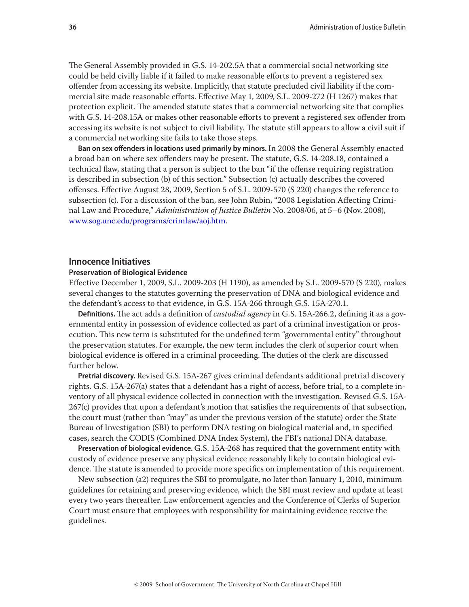The General Assembly provided in G.S. 14-202.5A that a commercial social networking site could be held civilly liable if it failed to make reasonable efforts to prevent a registered sex offender from accessing its website. Implicitly, that statute precluded civil liability if the commercial site made reasonable efforts. Effective May 1, 2009, S.L. 2009-272 (H 1267) makes that protection explicit. The amended statute states that a commercial networking site that complies with G.S. 14-208.15A or makes other reasonable efforts to prevent a registered sex offender from accessing its website is not subject to civil liability. The statute still appears to allow a civil suit if a commercial networking site fails to take those steps.

**Ban on sex offenders in locations used primarily by minors.** In 2008 the General Assembly enacted a broad ban on where sex offenders may be present. The statute, G.S. 14-208.18, contained a technical flaw, stating that a person is subject to the ban "if the offense requiring registration is described in subsection (b) of this section." Subsection (c) actually describes the covered offenses. Effective August 28, 2009, Section 5 of S.L. 2009-570 (S 220) changes the reference to subsection (c). For a discussion of the ban, see John Rubin, "2008 Legislation Affecting Criminal Law and Procedure," *Administration of Justice Bulletin* No. 2008/06, at 5–6 (Nov. 2008), [www.sog.unc.edu/programs/crimlaw/aoj.htm.](http://www.sog.unc.edu/programs/crimlaw/aoj.htm)

# **Innocence Initiatives**

#### **Preservation of Biological Evidence**

Effective December 1, 2009, S.L. 2009-203 (H 1190), as amended by S.L. 2009-570 (S 220), makes several changes to the statutes governing the preservation of DNA and biological evidence and the defendant's access to that evidence, in G.S. 15A-266 through G.S. 15A-270.1.

**Definitions.** The act adds a definition of *custodial agency* in G.S. 15A-266.2, defining it as a governmental entity in possession of evidence collected as part of a criminal investigation or prosecution. This new term is substituted for the undefined term "governmental entity" throughout the preservation statutes. For example, the new term includes the clerk of superior court when biological evidence is offered in a criminal proceeding. The duties of the clerk are discussed further below.

**Pretrial discovery.** Revised G.S. 15A-267 gives criminal defendants additional pretrial discovery rights. G.S. 15A-267(a) states that a defendant has a right of access, before trial, to a complete inventory of all physical evidence collected in connection with the investigation. Revised G.S. 15A-267(c) provides that upon a defendant's motion that satisfies the requirements of that subsection, the court must (rather than "may" as under the previous version of the statute) order the State Bureau of Investigation (SBI) to perform DNA testing on biological material and, in specified cases, search the CODIS (Combined DNA Index System), the FBI's national DNA database.

**Preservation of biological evidence.** G.S. 15A-268 has required that the government entity with custody of evidence preserve any physical evidence reasonably likely to contain biological evidence. The statute is amended to provide more specifics on implementation of this requirement.

New subsection (a2) requires the SBI to promulgate, no later than January 1, 2010, minimum guidelines for retaining and preserving evidence, which the SBI must review and update at least every two years thereafter. Law enforcement agencies and the Conference of Clerks of Superior Court must ensure that employees with responsibility for maintaining evidence receive the guidelines.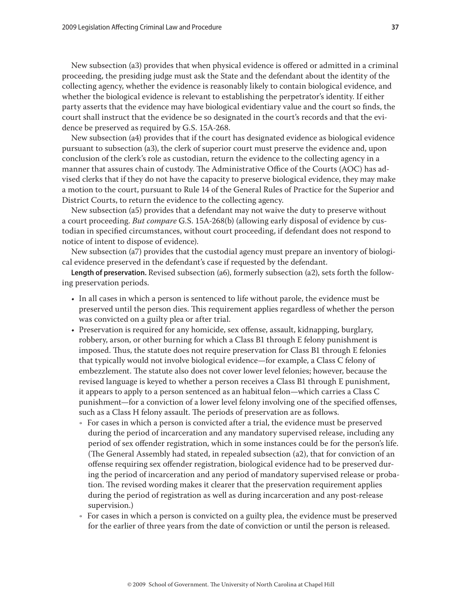New subsection (a3) provides that when physical evidence is offered or admitted in a criminal proceeding, the presiding judge must ask the State and the defendant about the identity of the collecting agency, whether the evidence is reasonably likely to contain biological evidence, and whether the biological evidence is relevant to establishing the perpetrator's identity. If either party asserts that the evidence may have biological evidentiary value and the court so finds, the court shall instruct that the evidence be so designated in the court's records and that the evidence be preserved as required by G.S. 15A-268.

New subsection (a4) provides that if the court has designated evidence as biological evidence pursuant to subsection (a3), the clerk of superior court must preserve the evidence and, upon conclusion of the clerk's role as custodian, return the evidence to the collecting agency in a manner that assures chain of custody. The Administrative Office of the Courts (AOC) has advised clerks that if they do not have the capacity to preserve biological evidence, they may make a motion to the court, pursuant to Rule 14 of the General Rules of Practice for the Superior and District Courts, to return the evidence to the collecting agency.

New subsection (a5) provides that a defendant may not waive the duty to preserve without a court proceeding. *But compare* G.S. 15A-268(b) (allowing early disposal of evidence by custodian in specified circumstances, without court proceeding, if defendant does not respond to notice of intent to dispose of evidence).

New subsection (a7) provides that the custodial agency must prepare an inventory of biological evidence preserved in the defendant's case if requested by the defendant.

**Length of preservation.** Revised subsection (a6), formerly subsection (a2), sets forth the following preservation periods.

- • In all cases in which a person is sentenced to life without parole, the evidence must be preserved until the person dies. This requirement applies regardless of whether the person was convicted on a guilty plea or after trial.
- • Preservation is required for any homicide, sex offense, assault, kidnapping, burglary, robbery, arson, or other burning for which a Class B1 through E felony punishment is imposed. Thus, the statute does not require preservation for Class B1 through E felonies that typically would not involve biological evidence—for example, a Class C felony of embezzlement. The statute also does not cover lower level felonies; however, because the revised language is keyed to whether a person receives a Class B1 through E punishment, it appears to apply to a person sentenced as an habitual felon—which carries a Class C punishment—for a conviction of a lower level felony involving one of the specified offenses, such as a Class H felony assault. The periods of preservation are as follows.
	- For cases in which a person is convicted after a trial, the evidence must be preserved during the period of incarceration and any mandatory supervised release, including any period of sex offender registration, which in some instances could be for the person's life. (The General Assembly had stated, in repealed subsection (a2), that for conviction of an offense requiring sex offender registration, biological evidence had to be preserved during the period of incarceration and any period of mandatory supervised release or probation. The revised wording makes it clearer that the preservation requirement applies during the period of registration as well as during incarceration and any post-release supervision.)
	- For cases in which a person is convicted on a guilty plea, the evidence must be preserved for the earlier of three years from the date of conviction or until the person is released.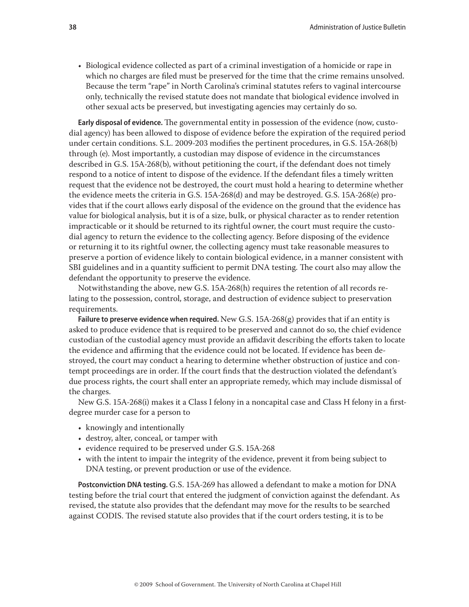• Biological evidence collected as part of a criminal investigation of a homicide or rape in which no charges are filed must be preserved for the time that the crime remains unsolved. Because the term "rape" in North Carolina's criminal statutes refers to vaginal intercourse only, technically the revised statute does not mandate that biological evidence involved in other sexual acts be preserved, but investigating agencies may certainly do so.

**Early disposal of evidence.** The governmental entity in possession of the evidence (now, custodial agency) has been allowed to dispose of evidence before the expiration of the required period under certain conditions. S.L. 2009-203 modifies the pertinent procedures, in G.S. 15A-268(b) through (e). Most importantly, a custodian may dispose of evidence in the circumstances described in G.S. 15A-268(b), without petitioning the court, if the defendant does not timely respond to a notice of intent to dispose of the evidence. If the defendant files a timely written request that the evidence not be destroyed, the court must hold a hearing to determine whether the evidence meets the criteria in G.S. 15A-268(d) and may be destroyed. G.S. 15A-268(e) provides that if the court allows early disposal of the evidence on the ground that the evidence has value for biological analysis, but it is of a size, bulk, or physical character as to render retention impracticable or it should be returned to its rightful owner, the court must require the custodial agency to return the evidence to the collecting agency. Before disposing of the evidence or returning it to its rightful owner, the collecting agency must take reasonable measures to preserve a portion of evidence likely to contain biological evidence, in a manner consistent with SBI guidelines and in a quantity sufficient to permit DNA testing. The court also may allow the defendant the opportunity to preserve the evidence.

Notwithstanding the above, new G.S. 15A-268(h) requires the retention of all records relating to the possession, control, storage, and destruction of evidence subject to preservation requirements.

**Failure to preserve evidence when required.** New G.S. 15A-268(g) provides that if an entity is asked to produce evidence that is required to be preserved and cannot do so, the chief evidence custodian of the custodial agency must provide an affidavit describing the efforts taken to locate the evidence and affirming that the evidence could not be located. If evidence has been destroyed, the court may conduct a hearing to determine whether obstruction of justice and contempt proceedings are in order. If the court finds that the destruction violated the defendant's due process rights, the court shall enter an appropriate remedy, which may include dismissal of the charges.

New G.S. 15A-268(i) makes it a Class I felony in a noncapital case and Class H felony in a firstdegree murder case for a person to

- knowingly and intentionally
- • destroy, alter, conceal, or tamper with
- evidence required to be preserved under G.S. 15A-268
- • with the intent to impair the integrity of the evidence, prevent it from being subject to DNA testing, or prevent production or use of the evidence.

**Postconviction DNA testing.** G.S. 15A-269 has allowed a defendant to make a motion for DNA testing before the trial court that entered the judgment of conviction against the defendant. As revised, the statute also provides that the defendant may move for the results to be searched against CODIS. The revised statute also provides that if the court orders testing, it is to be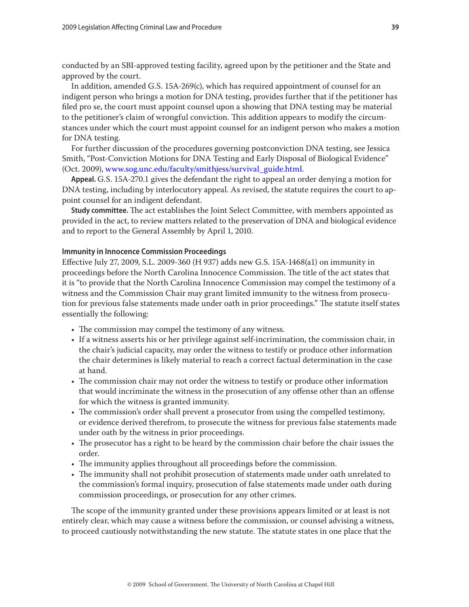conducted by an SBI-approved testing facility, agreed upon by the petitioner and the State and approved by the court.

In addition, amended G.S. 15A-269(c), which has required appointment of counsel for an indigent person who brings a motion for DNA testing, provides further that if the petitioner has filed pro se, the court must appoint counsel upon a showing that DNA testing may be material to the petitioner's claim of wrongful conviction. This addition appears to modify the circumstances under which the court must appoint counsel for an indigent person who makes a motion for DNA testing.

For further discussion of the procedures governing postconviction DNA testing, see Jessica Smith, "Post-Conviction Motions for DNA Testing and Early Disposal of Biological Evidence" (Oct. 2009), [www.sog.unc.edu/faculty/smithjess/survival\\_guide.html](http://www.sog.unc.edu/faculty/smithjess/survival_guide.html).

**Appeal.** G.S. 15A-270.1 gives the defendant the right to appeal an order denying a motion for DNA testing, including by interlocutory appeal. As revised, the statute requires the court to appoint counsel for an indigent defendant.

**Study committee.** The act establishes the Joint Select Committee, with members appointed as provided in the act, to review matters related to the preservation of DNA and biological evidence and to report to the General Assembly by April 1, 2010.

# **Immunity in Innocence Commission Proceedings**

Effective July 27, 2009, S.L. 2009-360 (H 937) adds new G.S. 15A-1468(a1) on immunity in proceedings before the North Carolina Innocence Commission. The title of the act states that it is "to provide that the North Carolina Innocence Commission may compel the testimony of a witness and the Commission Chair may grant limited immunity to the witness from prosecution for previous false statements made under oath in prior proceedings." The statute itself states essentially the following:

- The commission may compel the testimony of any witness.
- • If a witness asserts his or her privilege against self-incrimination, the commission chair, in the chair's judicial capacity, may order the witness to testify or produce other information the chair determines is likely material to reach a correct factual determination in the case at hand.
- The commission chair may not order the witness to testify or produce other information that would incriminate the witness in the prosecution of any offense other than an offense for which the witness is granted immunity.
- The commission's order shall prevent a prosecutor from using the compelled testimony, or evidence derived therefrom, to prosecute the witness for previous false statements made under oath by the witness in prior proceedings.
- • The prosecutor has a right to be heard by the commission chair before the chair issues the order.
- The immunity applies throughout all proceedings before the commission.
- • The immunity shall not prohibit prosecution of statements made under oath unrelated to the commission's formal inquiry, prosecution of false statements made under oath during commission proceedings, or prosecution for any other crimes.

The scope of the immunity granted under these provisions appears limited or at least is not entirely clear, which may cause a witness before the commission, or counsel advising a witness, to proceed cautiously notwithstanding the new statute. The statute states in one place that the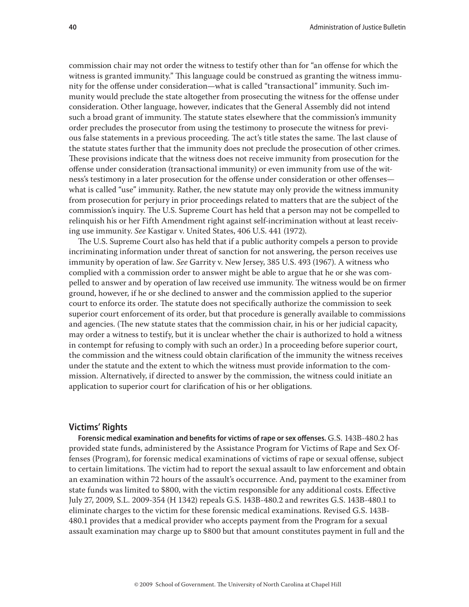commission chair may not order the witness to testify other than for "an offense for which the witness is granted immunity." This language could be construed as granting the witness immunity for the offense under consideration—what is called "transactional" immunity. Such immunity would preclude the state altogether from prosecuting the witness for the offense under consideration. Other language, however, indicates that the General Assembly did not intend such a broad grant of immunity. The statute states elsewhere that the commission's immunity order precludes the prosecutor from using the testimony to prosecute the witness for previous false statements in a previous proceeding. The act's title states the same. The last clause of the statute states further that the immunity does not preclude the prosecution of other crimes. These provisions indicate that the witness does not receive immunity from prosecution for the offense under consideration (transactional immunity) or even immunity from use of the witness's testimony in a later prosecution for the offense under consideration or other offenses what is called "use" immunity. Rather, the new statute may only provide the witness immunity from prosecution for perjury in prior proceedings related to matters that are the subject of the commission's inquiry. The U.S. Supreme Court has held that a person may not be compelled to relinquish his or her Fifth Amendment right against self-incrimination without at least receiving use immunity. *See* Kastigar v. United States, 406 U.S. 441 (1972).

The U.S. Supreme Court also has held that if a public authority compels a person to provide incriminating information under threat of sanction for not answering, the person receives use immunity by operation of law. *See* Garrity v. New Jersey, 385 U.S. 493 (1967). A witness who complied with a commission order to answer might be able to argue that he or she was compelled to answer and by operation of law received use immunity. The witness would be on firmer ground, however, if he or she declined to answer and the commission applied to the superior court to enforce its order. The statute does not specifically authorize the commission to seek superior court enforcement of its order, but that procedure is generally available to commissions and agencies. (The new statute states that the commission chair, in his or her judicial capacity, may order a witness to testify, but it is unclear whether the chair is authorized to hold a witness in contempt for refusing to comply with such an order.) In a proceeding before superior court, the commission and the witness could obtain clarification of the immunity the witness receives under the statute and the extent to which the witness must provide information to the commission. Alternatively, if directed to answer by the commission, the witness could initiate an application to superior court for clarification of his or her obligations.

# **Victims' Rights**

**Forensic medical examination and benefits for victims of rape or sex offenses.** G.S. 143B-480.2 has provided state funds, administered by the Assistance Program for Victims of Rape and Sex Offenses (Program), for forensic medical examinations of victims of rape or sexual offense, subject to certain limitations. The victim had to report the sexual assault to law enforcement and obtain an examination within 72 hours of the assault's occurrence. And, payment to the examiner from state funds was limited to \$800, with the victim responsible for any additional costs. Effective July 27, 2009, S.L. 2009-354 (H 1342) repeals G.S. 143B-480.2 and rewrites G.S. 143B-480.1 to eliminate charges to the victim for these forensic medical examinations. Revised G.S. 143B-480.1 provides that a medical provider who accepts payment from the Program for a sexual assault examination may charge up to \$800 but that amount constitutes payment in full and the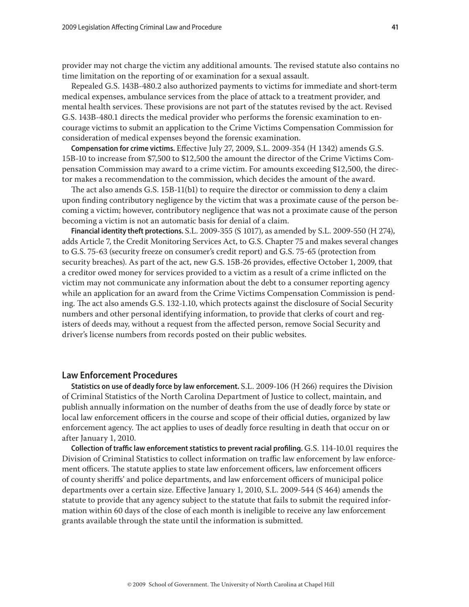provider may not charge the victim any additional amounts. The revised statute also contains no time limitation on the reporting of or examination for a sexual assault.

Repealed G.S. 143B-480.2 also authorized payments to victims for immediate and short-term medical expenses, ambulance services from the place of attack to a treatment provider, and mental health services. These provisions are not part of the statutes revised by the act. Revised G.S. 143B-480.1 directs the medical provider who performs the forensic examination to encourage victims to submit an application to the Crime Victims Compensation Commission for consideration of medical expenses beyond the forensic examination.

**Compensation for crime victims.** Effective July 27, 2009, S.L. 2009-354 (H 1342) amends G.S. 15B-10 to increase from \$7,500 to \$12,500 the amount the director of the Crime Victims Compensation Commission may award to a crime victim. For amounts exceeding \$12,500, the director makes a recommendation to the commission, which decides the amount of the award.

The act also amends G.S. 15B-11(b1) to require the director or commission to deny a claim upon finding contributory negligence by the victim that was a proximate cause of the person becoming a victim; however, contributory negligence that was not a proximate cause of the person becoming a victim is not an automatic basis for denial of a claim.

**Financial identity theft protections.** S.L. 2009-355 (S 1017), as amended by S.L. 2009-550 (H 274), adds Article 7, the Credit Monitoring Services Act, to G.S. Chapter 75 and makes several changes to G.S. 75-63 (security freeze on consumer's credit report) and G.S. 75-65 (protection from security breaches). As part of the act, new G.S. 15B-26 provides, effective October 1, 2009, that a creditor owed money for services provided to a victim as a result of a crime inflicted on the victim may not communicate any information about the debt to a consumer reporting agency while an application for an award from the Crime Victims Compensation Commission is pending. The act also amends G.S. 132-1.10, which protects against the disclosure of Social Security numbers and other personal identifying information, to provide that clerks of court and registers of deeds may, without a request from the affected person, remove Social Security and driver's license numbers from records posted on their public websites.

# **Law Enforcement Procedures**

**Statistics on use of deadly force by law enforcement.** S.L. 2009-106 (H 266) requires the Division of Criminal Statistics of the North Carolina Department of Justice to collect, maintain, and publish annually information on the number of deaths from the use of deadly force by state or local law enforcement officers in the course and scope of their official duties, organized by law enforcement agency. The act applies to uses of deadly force resulting in death that occur on or after January 1, 2010.

**Collection of traffic law enforcement statistics to prevent racial profiling.** G.S. 114-10.01 requires the Division of Criminal Statistics to collect information on traffic law enforcement by law enforcement officers. The statute applies to state law enforcement officers, law enforcement officers of county sheriffs' and police departments, and law enforcement officers of municipal police departments over a certain size. Effective January 1, 2010, S.L. 2009-544 (S 464) amends the statute to provide that any agency subject to the statute that fails to submit the required information within 60 days of the close of each month is ineligible to receive any law enforcement grants available through the state until the information is submitted.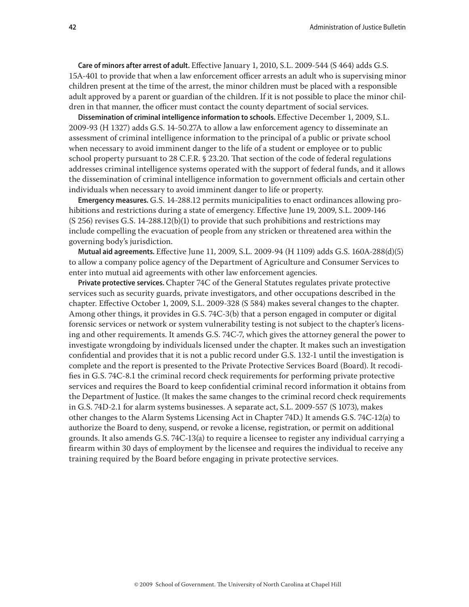**Care of minors after arrest of adult.** Effective January 1, 2010, S.L. 2009-544 (S 464) adds G.S. 15A-401 to provide that when a law enforcement officer arrests an adult who is supervising minor children present at the time of the arrest, the minor children must be placed with a responsible adult approved by a parent or guardian of the children. If it is not possible to place the minor children in that manner, the officer must contact the county department of social services.

**Dissemination of criminal intelligence information to schools.** Effective December 1, 2009, S.L. 2009-93 (H 1327) adds G.S. 14-50.27A to allow a law enforcement agency to disseminate an assessment of criminal intelligence information to the principal of a public or private school when necessary to avoid imminent danger to the life of a student or employee or to public school property pursuant to 28 C.F.R. § 23.20. That section of the code of federal regulations addresses criminal intelligence systems operated with the support of federal funds, and it allows the dissemination of criminal intelligence information to government officials and certain other individuals when necessary to avoid imminent danger to life or property.

**Emergency measures.** G.S. 14-288.12 permits municipalities to enact ordinances allowing prohibitions and restrictions during a state of emergency. Effective June 19, 2009, S.L. 2009-146 (S 256) revises G.S. 14-288.12(b)(1) to provide that such prohibitions and restrictions may include compelling the evacuation of people from any stricken or threatened area within the governing body's jurisdiction.

**Mutual aid agreements.** Effective June 11, 2009, S.L. 2009-94 (H 1109) adds G.S. 160A-288(d)(5) to allow a company police agency of the Department of Agriculture and Consumer Services to enter into mutual aid agreements with other law enforcement agencies.

**Private protective services.** Chapter 74C of the General Statutes regulates private protective services such as security guards, private investigators, and other occupations described in the chapter. Effective October 1, 2009, S.L. 2009-328 (S 584) makes several changes to the chapter. Among other things, it provides in G.S. 74C-3(b) that a person engaged in computer or digital forensic services or network or system vulnerability testing is not subject to the chapter's licensing and other requirements. It amends G.S. 74C-7, which gives the attorney general the power to investigate wrongdoing by individuals licensed under the chapter. It makes such an investigation confidential and provides that it is not a public record under G.S. 132-1 until the investigation is complete and the report is presented to the Private Protective Services Board (Board). It recodifies in G.S. 74C-8.1 the criminal record check requirements for performing private protective services and requires the Board to keep confidential criminal record information it obtains from the Department of Justice. (It makes the same changes to the criminal record check requirements in G.S. 74D-2.1 for alarm systems businesses. A separate act, S.L. 2009-557 (S 1073), makes other changes to the Alarm Systems Licensing Act in Chapter 74D.) It amends G.S. 74C-12(a) to authorize the Board to deny, suspend, or revoke a license, registration, or permit on additional grounds. It also amends G.S. 74C-13(a) to require a licensee to register any individual carrying a firearm within 30 days of employment by the licensee and requires the individual to receive any training required by the Board before engaging in private protective services.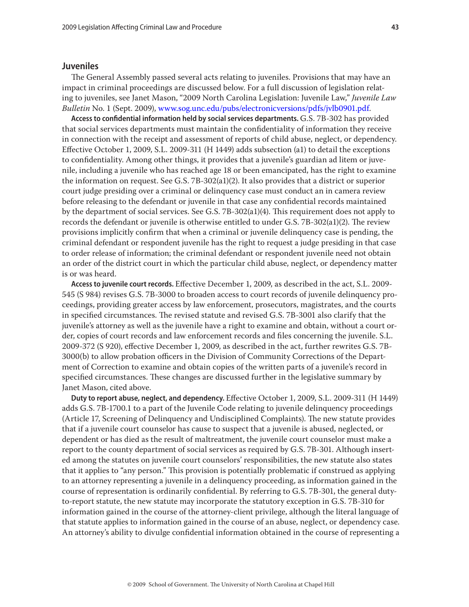#### **Juveniles**

The General Assembly passed several acts relating to juveniles. Provisions that may have an impact in criminal proceedings are discussed below. For a full discussion of legislation relating to juveniles, see Janet Mason, "2009 North Carolina Legislation: Juvenile Law," *Juvenile Law Bulletin* No. 1 (Sept. 2009), [www.sog.unc.edu/pubs/electronicversions/pdfs/jvlb0901.pdf](http://www.sog.unc.edu/pubs/electronicversions/pdfs/jvlb0901.pdf).

**Access to confidential information held by social services departments.** G.S. 7B-302 has provided that social services departments must maintain the confidentiality of information they receive in connection with the receipt and assessment of reports of child abuse, neglect, or dependency. Effective October 1, 2009, S.L. 2009-311 (H 1449) adds subsection (a1) to detail the exceptions to confidentiality. Among other things, it provides that a juvenile's guardian ad litem or juvenile, including a juvenile who has reached age 18 or been emancipated, has the right to examine the information on request. See G.S. 7B-302(a1)(2). It also provides that a district or superior court judge presiding over a criminal or delinquency case must conduct an in camera review before releasing to the defendant or juvenile in that case any confidential records maintained by the department of social services. See G.S. 7B-302(a1)(4). This requirement does not apply to records the defendant or juvenile is otherwise entitled to under G.S. 7B-302(a1)(2). The review provisions implicitly confirm that when a criminal or juvenile delinquency case is pending, the criminal defendant or respondent juvenile has the right to request a judge presiding in that case to order release of information; the criminal defendant or respondent juvenile need not obtain an order of the district court in which the particular child abuse, neglect, or dependency matter is or was heard.

**Access to juvenile court records.** Effective December 1, 2009, as described in the act, S.L. 2009- 545 (S 984) revises G.S. 7B-3000 to broaden access to court records of juvenile delinquency proceedings, providing greater access by law enforcement, prosecutors, magistrates, and the courts in specified circumstances. The revised statute and revised G.S. 7B-3001 also clarify that the juvenile's attorney as well as the juvenile have a right to examine and obtain, without a court order, copies of court records and law enforcement records and files concerning the juvenile. S.L. 2009-372 (S 920), effective December 1, 2009, as described in the act, further rewrites G.S. 7B-3000(b) to allow probation officers in the Division of Community Corrections of the Department of Correction to examine and obtain copies of the written parts of a juvenile's record in specified circumstances. These changes are discussed further in the legislative summary by Janet Mason, cited above.

**Duty to report abuse, neglect, and dependency.** Effective October 1, 2009, S.L. 2009-311 (H 1449) adds G.S. 7B-1700.1 to a part of the Juvenile Code relating to juvenile delinquency proceedings (Article 17, Screening of Delinquency and Undisciplined Complaints). The new statute provides that if a juvenile court counselor has cause to suspect that a juvenile is abused, neglected, or dependent or has died as the result of maltreatment, the juvenile court counselor must make a report to the county department of social services as required by G.S. 7B-301. Although inserted among the statutes on juvenile court counselors' responsibilities, the new statute also states that it applies to "any person." This provision is potentially problematic if construed as applying to an attorney representing a juvenile in a delinquency proceeding, as information gained in the course of representation is ordinarily confidential. By referring to G.S. 7B-301, the general dutyto-report statute, the new statute may incorporate the statutory exception in G.S. 7B-310 for information gained in the course of the attorney-client privilege, although the literal language of that statute applies to information gained in the course of an abuse, neglect, or dependency case. An attorney's ability to divulge confidential information obtained in the course of representing a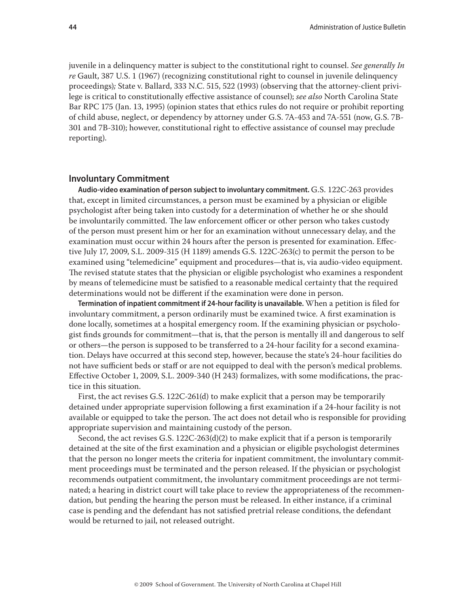juvenile in a delinquency matter is subject to the constitutional right to counsel. *See generally In re* Gault, 387 U.S. 1 (1967) (recognizing constitutional right to counsel in juvenile delinquency proceedings)*;* State v. Ballard, 333 N.C. 515, 522 (1993) (observing that the attorney-client privilege is critical to constitutionally effective assistance of counsel); *see also* North Carolina State Bar RPC 175 (Jan. 13, 1995) (opinion states that ethics rules do not require or prohibit reporting of child abuse, neglect, or dependency by attorney under G.S. 7A-453 and 7A-551 (now, G.S. 7B-301 and 7B-310); however, constitutional right to effective assistance of counsel may preclude reporting).

# **Involuntary Commitment**

**Audio-video examination of person subject to involuntary commitment.** G.S. 122C-263 provides that, except in limited circumstances, a person must be examined by a physician or eligible psychologist after being taken into custody for a determination of whether he or she should be involuntarily committed. The law enforcement officer or other person who takes custody of the person must present him or her for an examination without unnecessary delay, and the examination must occur within 24 hours after the person is presented for examination. Effective July 17, 2009, S.L. 2009-315 (H 1189) amends G.S. 122C-263(c) to permit the person to be examined using "telemedicine" equipment and procedures—that is, via audio-video equipment. The revised statute states that the physician or eligible psychologist who examines a respondent by means of telemedicine must be satisfied to a reasonable medical certainty that the required determinations would not be different if the examination were done in person.

**Termination of inpatient commitment if 24-hour facility is unavailable.** When a petition is filed for involuntary commitment, a person ordinarily must be examined twice. A first examination is done locally, sometimes at a hospital emergency room. If the examining physician or psychologist finds grounds for commitment—that is, that the person is mentally ill and dangerous to self or others—the person is supposed to be transferred to a 24-hour facility for a second examination. Delays have occurred at this second step, however, because the state's 24-hour facilities do not have sufficient beds or staff or are not equipped to deal with the person's medical problems. Effective October 1, 2009, S.L. 2009-340 (H 243) formalizes, with some modifications, the practice in this situation.

First, the act revises G.S. 122C-261(d) to make explicit that a person may be temporarily detained under appropriate supervision following a first examination if a 24-hour facility is not available or equipped to take the person. The act does not detail who is responsible for providing appropriate supervision and maintaining custody of the person.

Second, the act revises G.S. 122C-263(d)(2) to make explicit that if a person is temporarily detained at the site of the first examination and a physician or eligible psychologist determines that the person no longer meets the criteria for inpatient commitment, the involuntary commitment proceedings must be terminated and the person released. If the physician or psychologist recommends outpatient commitment, the involuntary commitment proceedings are not terminated; a hearing in district court will take place to review the appropriateness of the recommendation, but pending the hearing the person must be released. In either instance, if a criminal case is pending and the defendant has not satisfied pretrial release conditions, the defendant would be returned to jail, not released outright.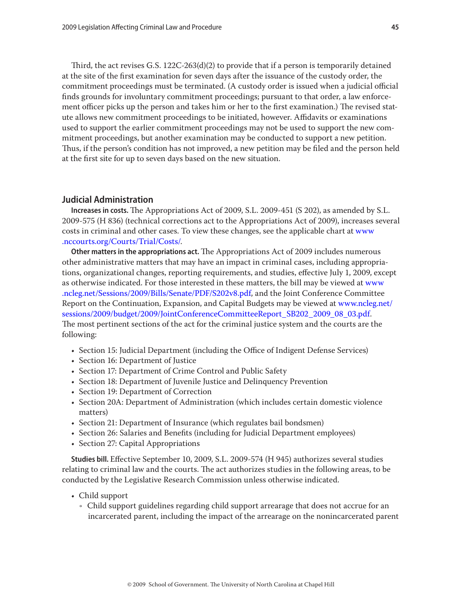Third, the act revises G.S. 122C-263(d)(2) to provide that if a person is temporarily detained at the site of the first examination for seven days after the issuance of the custody order, the commitment proceedings must be terminated. (A custody order is issued when a judicial official finds grounds for involuntary commitment proceedings; pursuant to that order, a law enforcement officer picks up the person and takes him or her to the first examination.) The revised statute allows new commitment proceedings to be initiated, however. Affidavits or examinations used to support the earlier commitment proceedings may not be used to support the new commitment proceedings, but another examination may be conducted to support a new petition. Thus, if the person's condition has not improved, a new petition may be filed and the person held at the first site for up to seven days based on the new situation.

# **Judicial Administration**

**Increases in costs.** The Appropriations Act of 2009, S.L. 2009-451 (S 202), as amended by S.L. 2009-575 (H 836) (technical corrections act to the Appropriations Act of 2009), increases several costs in criminal and other cases. To view these changes, see the applicable chart at [www](http://www.nccourts.org/Courts/Trial/Costs/) [.nccourts.org/Courts/Trial/Costs/](http://www.nccourts.org/Courts/Trial/Costs/).

**Other matters in the appropriations act.** The Appropriations Act of 2009 includes numerous other administrative matters that may have an impact in criminal cases, including appropriations, organizational changes, reporting requirements, and studies, effective July 1, 2009, except as otherwise indicated. For those interested in these matters, the bill may be viewed at [www](http://www.ncleg.net/Sessions/2009/Bills/Senate/PDF/S202v8.pdf) [.ncleg.net/Sessions/2009/Bills/Senate/PDF/S202v8.pdf,](http://www.ncleg.net/Sessions/2009/Bills/Senate/PDF/S202v8.pdf) and the Joint Conference Committee Report on the Continuation, Expansion, and Capital Budgets may be viewed at [www.ncleg.net/](http://www.ncleg.net/sessions/2009/budget/2009/JointConferenceCommitteeReport_SB202_2009_08_03.pdf) [sessions/2009/budget/2009/JointConferenceCommitteeReport\\_SB202\\_2009\\_08\\_03.pdf](http://www.ncleg.net/sessions/2009/budget/2009/JointConferenceCommitteeReport_SB202_2009_08_03.pdf). The most pertinent sections of the act for the criminal justice system and the courts are the following:

- Section 15: Judicial Department (including the Office of Indigent Defense Services)
- Section 16: Department of Justice
- Section 17: Department of Crime Control and Public Safety
- Section 18: Department of Juvenile Justice and Delinquency Prevention
- Section 19: Department of Correction
- Section 20A: Department of Administration (which includes certain domestic violence matters)
- Section 21: Department of Insurance (which regulates bail bondsmen)
- Section 26: Salaries and Benefits (including for Judicial Department employees)
- Section 27: Capital Appropriations

**Studies bill.** Effective September 10, 2009, S.L. 2009-574 (H 945) authorizes several studies relating to criminal law and the courts. The act authorizes studies in the following areas, to be conducted by the Legislative Research Commission unless otherwise indicated.

- Child support
	- $\cdot$  Child support guidelines regarding child support arrearage that does not accrue for an incarcerated parent, including the impact of the arrearage on the nonincarcerated parent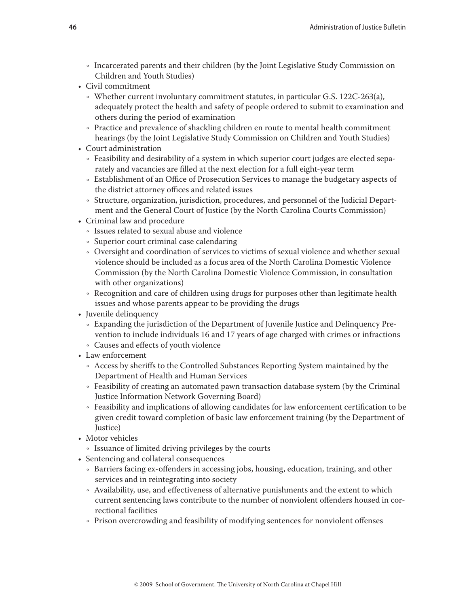- Incarcerated parents and their children (by the Joint Legislative Study Commission on Children and Youth Studies)
- Civil commitment
	- $\cdot$  Whether current involuntary commitment statutes, in particular G.S. 122C-263(a), adequately protect the health and safety of people ordered to submit to examination and others during the period of examination
	- Practice and prevalence of shackling children en route to mental health commitment hearings (by the Joint Legislative Study Commission on Children and Youth Studies)
- Court administration
	- Feasibility and desirability of a system in which superior court judges are elected separately and vacancies are filled at the next election for a full eight-year term
	- Establishment of an Office of Prosecution Services to manage the budgetary aspects of the district attorney offices and related issues
	- Ǟ Structure, organization, jurisdiction, procedures, and personnel of the Judicial Department and the General Court of Justice (by the North Carolina Courts Commission)
- Criminal law and procedure
	- Ǟ Issues related to sexual abuse and violence
	- Ǟ Superior court criminal case calendaring
	- $\circ$  Oversight and coordination of services to victims of sexual violence and whether sexual violence should be included as a focus area of the North Carolina Domestic Violence Commission (by the North Carolina Domestic Violence Commission, in consultation with other organizations)
	- Recognition and care of children using drugs for purposes other than legitimate health issues and whose parents appear to be providing the drugs
- Juvenile delinquency
	- Ǟ Expanding the jurisdiction of the Department of Juvenile Justice and Delinquency Prevention to include individuals 16 and 17 years of age charged with crimes or infractions
	- Ǟ Causes and effects of youth violence
- Law enforcement
	- Access by sheriffs to the Controlled Substances Reporting System maintained by the Department of Health and Human Services
	- Feasibility of creating an automated pawn transaction database system (by the Criminal Justice Information Network Governing Board)
	- Feasibility and implications of allowing candidates for law enforcement certification to be given credit toward completion of basic law enforcement training (by the Department of Justice)
- Motor vehicles
	- Issuance of limited driving privileges by the courts
- Sentencing and collateral consequences
	- be Barriers facing ex-offenders in accessing jobs, housing, education, training, and other services and in reintegrating into society
	- Availability, use, and effectiveness of alternative punishments and the extent to which current sentencing laws contribute to the number of nonviolent offenders housed in correctional facilities
	- Ǟ Prison overcrowding and feasibility of modifying sentences for nonviolent offenses